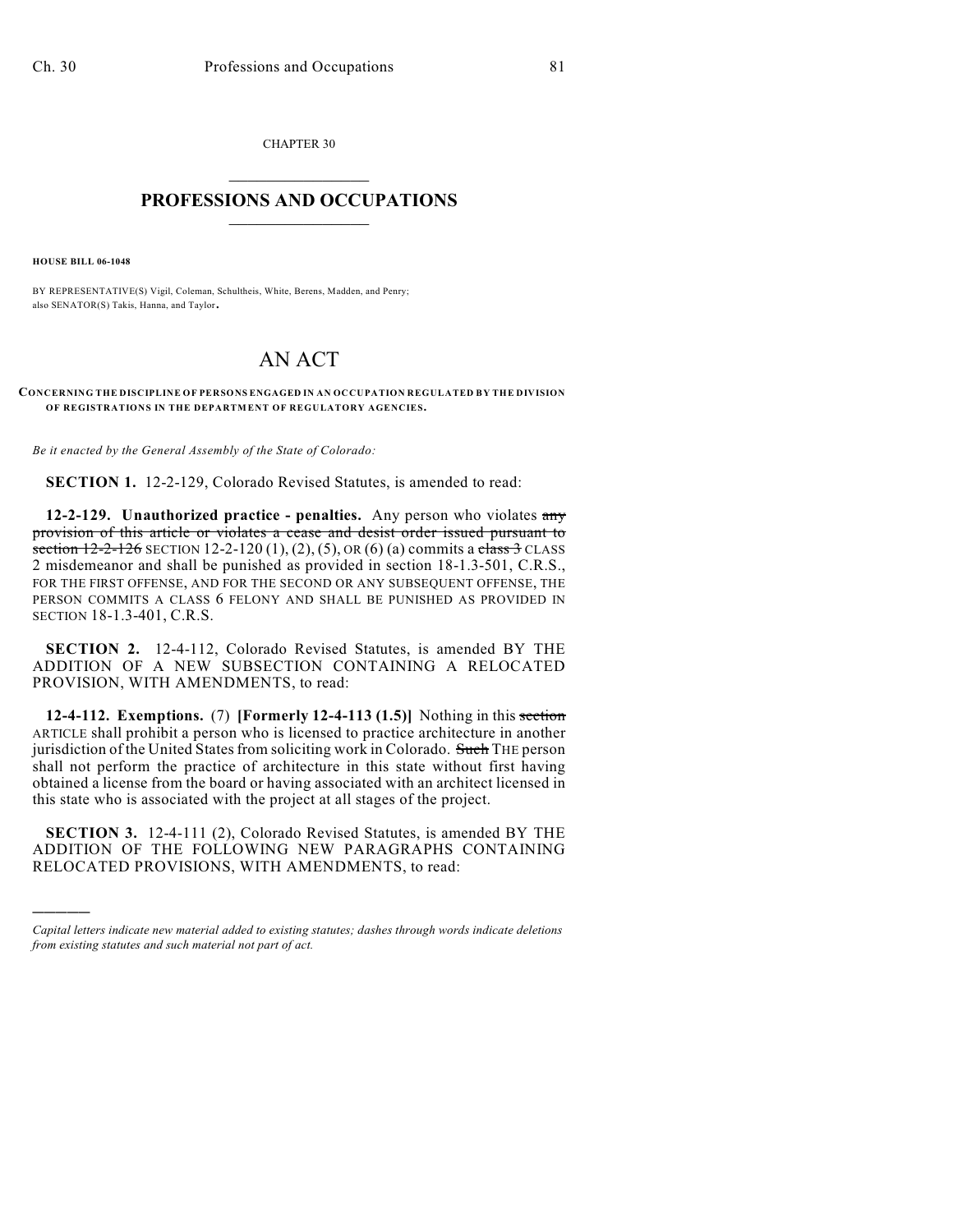CHAPTER 30  $\mathcal{L}_\text{max}$  . The set of the set of the set of the set of the set of the set of the set of the set of the set of the set of the set of the set of the set of the set of the set of the set of the set of the set of the set

## **PROFESSIONS AND OCCUPATIONS**  $\frac{1}{2}$  ,  $\frac{1}{2}$  ,  $\frac{1}{2}$  ,  $\frac{1}{2}$  ,  $\frac{1}{2}$  ,  $\frac{1}{2}$

**HOUSE BILL 06-1048**

)))))

BY REPRESENTATIVE(S) Vigil, Coleman, Schultheis, White, Berens, Madden, and Penry; also SENATOR(S) Takis, Hanna, and Taylor.

## AN ACT

**CONCERNING THE DISCIPLINE OF PERSONS ENGAGED IN AN OCCUPATION REGULATED BY THE DIVISION OF REGISTRATIONS IN THE DEPARTMENT OF REGULATORY AGENCIES.**

*Be it enacted by the General Assembly of the State of Colorado:*

**SECTION 1.** 12-2-129, Colorado Revised Statutes, is amended to read:

**12-2-129. Unauthorized practice - penalties.** Any person who violates any provision of this article or violates a cease and desist order issued pursuant to section  $12-2-126$  SECTION 12-2-120 (1), (2), (5), OR (6) (a) commits a class 3 CLASS 2 misdemeanor and shall be punished as provided in section 18-1.3-501, C.R.S., FOR THE FIRST OFFENSE, AND FOR THE SECOND OR ANY SUBSEQUENT OFFENSE, THE PERSON COMMITS A CLASS 6 FELONY AND SHALL BE PUNISHED AS PROVIDED IN SECTION 18-1.3-401, C.R.S.

**SECTION 2.** 12-4-112, Colorado Revised Statutes, is amended BY THE ADDITION OF A NEW SUBSECTION CONTAINING A RELOCATED PROVISION, WITH AMENDMENTS, to read:

**12-4-112. Exemptions.** (7) **[Formerly 12-4-113 (1.5)]** Nothing in this section ARTICLE shall prohibit a person who is licensed to practice architecture in another jurisdiction of the United States from soliciting work in Colorado. Such THE person shall not perform the practice of architecture in this state without first having obtained a license from the board or having associated with an architect licensed in this state who is associated with the project at all stages of the project.

**SECTION 3.** 12-4-111 (2), Colorado Revised Statutes, is amended BY THE ADDITION OF THE FOLLOWING NEW PARAGRAPHS CONTAINING RELOCATED PROVISIONS, WITH AMENDMENTS, to read:

*Capital letters indicate new material added to existing statutes; dashes through words indicate deletions from existing statutes and such material not part of act.*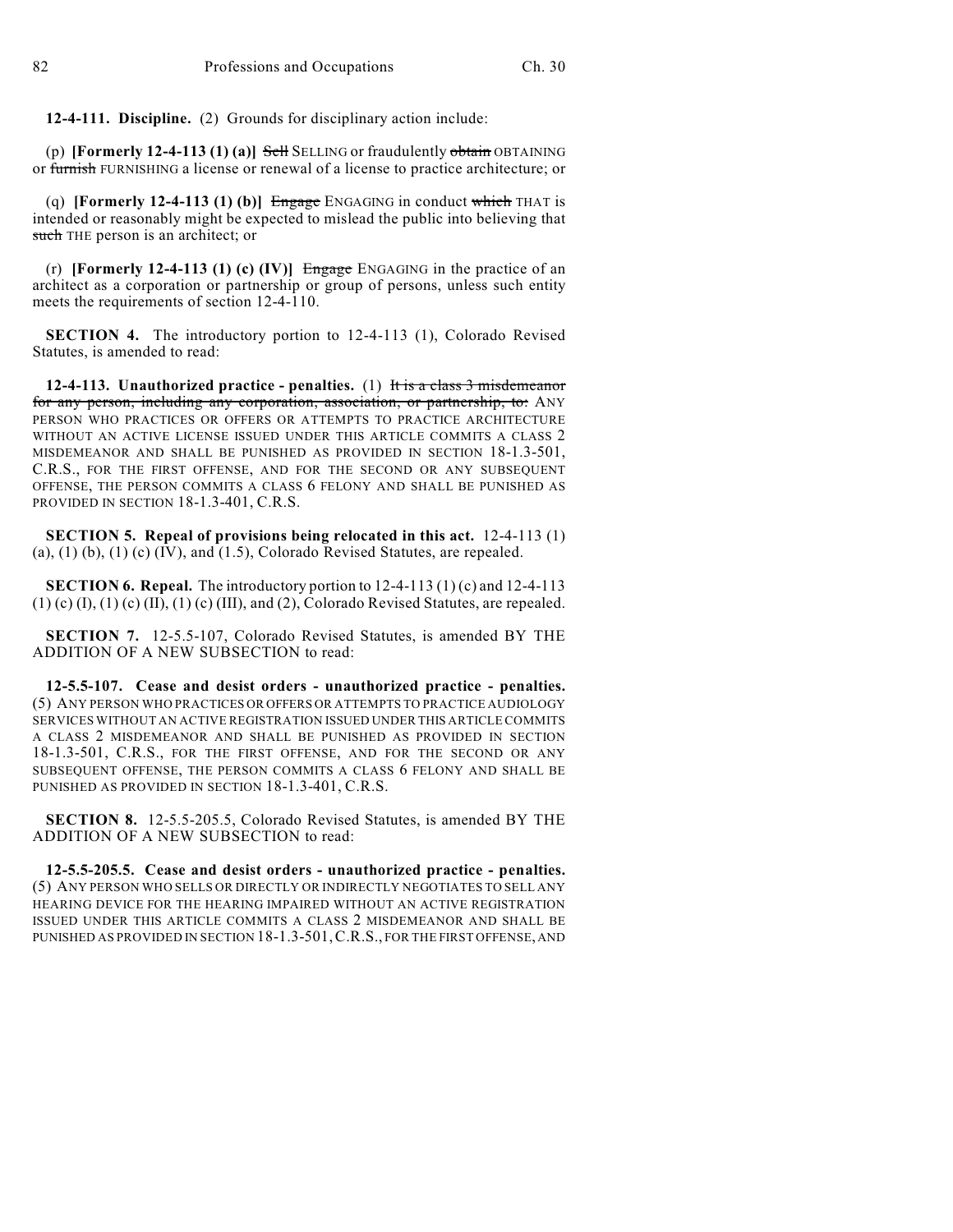**12-4-111. Discipline.** (2) Grounds for disciplinary action include:

(p) **[Formerly 12-4-113 (1) (a)]** Sell SELLING or fraudulently obtain OBTAINING or furnish FURNISHING a license or renewal of a license to practice architecture; or

(q) **[Formerly 12-4-113 (1) (b)]** Engage ENGAGING in conduct which THAT is intended or reasonably might be expected to mislead the public into believing that such THE person is an architect; or

(r) **[Formerly 12-4-113 (1) (c) (IV)]** Engage ENGAGING in the practice of an architect as a corporation or partnership or group of persons, unless such entity meets the requirements of section 12-4-110.

**SECTION 4.** The introductory portion to 12-4-113 (1), Colorado Revised Statutes, is amended to read:

**12-4-113. Unauthorized practice - penalties.** (1) It is a class 3 misdemeanor for any person, including any corporation, association, or partnership, to: ANY PERSON WHO PRACTICES OR OFFERS OR ATTEMPTS TO PRACTICE ARCHITECTURE WITHOUT AN ACTIVE LICENSE ISSUED UNDER THIS ARTICLE COMMITS A CLASS 2 MISDEMEANOR AND SHALL BE PUNISHED AS PROVIDED IN SECTION 18-1.3-501, C.R.S., FOR THE FIRST OFFENSE, AND FOR THE SECOND OR ANY SUBSEQUENT OFFENSE, THE PERSON COMMITS A CLASS 6 FELONY AND SHALL BE PUNISHED AS PROVIDED IN SECTION 18-1.3-401, C.R.S.

**SECTION 5. Repeal of provisions being relocated in this act.** 12-4-113 (1)  $(a)$ ,  $(1)$   $(b)$ ,  $(1)$   $(c)$   $(IV)$ , and  $(1.5)$ , Colorado Revised Statutes, are repealed.

**SECTION 6. Repeal.** The introductory portion to 12-4-113 (1) (c) and 12-4-113  $(1)$  (c)  $(I)$ ,  $(1)$  (c)  $(II)$ ,  $(1)$  (c)  $(III)$ , and  $(2)$ , Colorado Revised Statutes, are repealed.

**SECTION 7.** 12-5.5-107, Colorado Revised Statutes, is amended BY THE ADDITION OF A NEW SUBSECTION to read:

**12-5.5-107. Cease and desist orders - unauthorized practice - penalties.** (5) ANY PERSON WHO PRACTICES OR OFFERS OR ATTEMPTS TO PRACTICE AUDIOLOGY SERVICES WITHOUT AN ACTIVE REGISTRATION ISSUED UNDER THIS ARTICLE COMMITS A CLASS 2 MISDEMEANOR AND SHALL BE PUNISHED AS PROVIDED IN SECTION 18-1.3-501, C.R.S., FOR THE FIRST OFFENSE, AND FOR THE SECOND OR ANY SUBSEQUENT OFFENSE, THE PERSON COMMITS A CLASS 6 FELONY AND SHALL BE PUNISHED AS PROVIDED IN SECTION 18-1.3-401, C.R.S.

**SECTION 8.** 12-5.5-205.5, Colorado Revised Statutes, is amended BY THE ADDITION OF A NEW SUBSECTION to read:

**12-5.5-205.5. Cease and desist orders - unauthorized practice - penalties.** (5) ANY PERSON WHO SELLS OR DIRECTLY OR INDIRECTLY NEGOTIATES TO SELL ANY HEARING DEVICE FOR THE HEARING IMPAIRED WITHOUT AN ACTIVE REGISTRATION ISSUED UNDER THIS ARTICLE COMMITS A CLASS 2 MISDEMEANOR AND SHALL BE PUNISHED AS PROVIDED IN SECTION 18-1.3-501,C.R.S., FOR THE FIRST OFFENSE, AND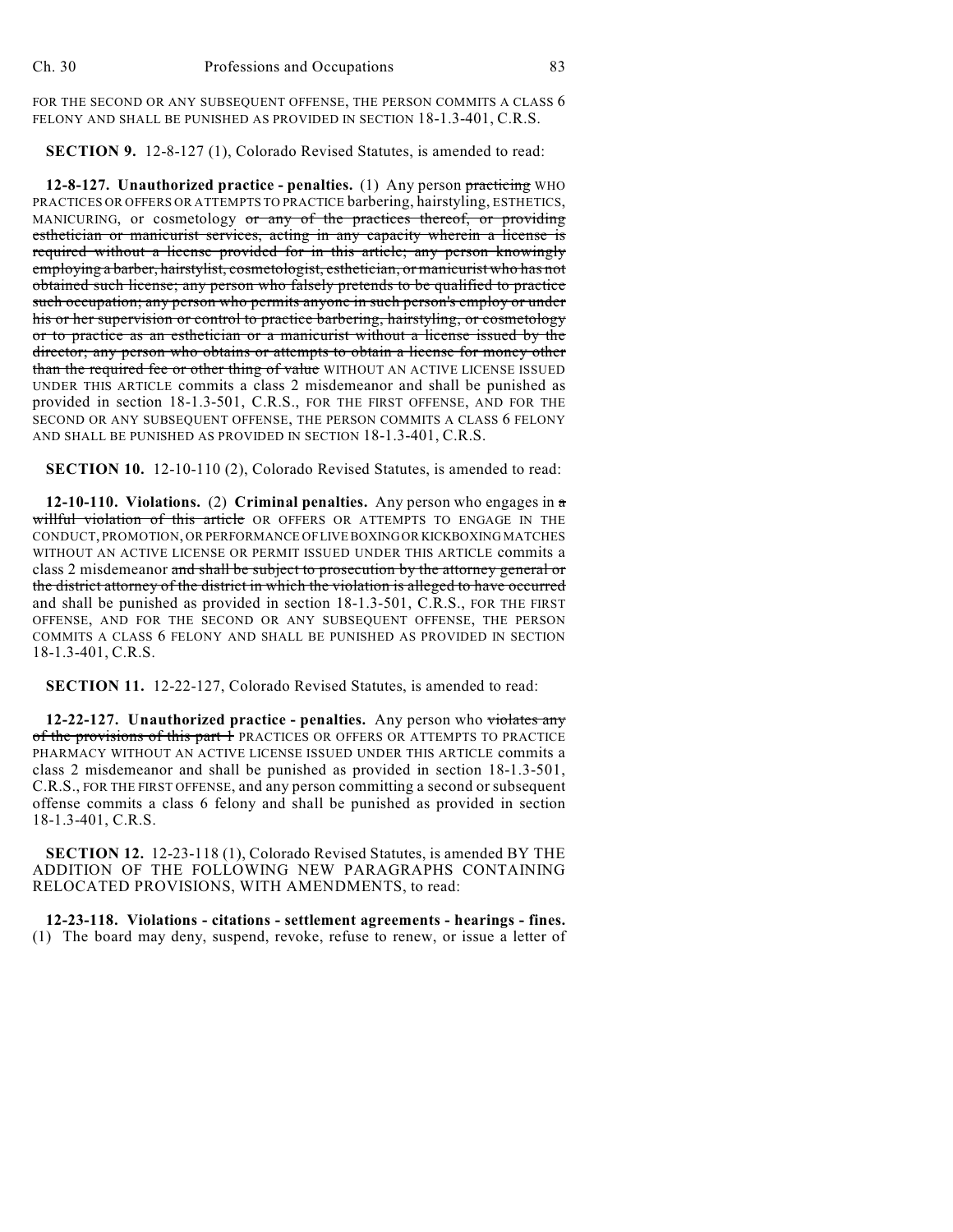FOR THE SECOND OR ANY SUBSEQUENT OFFENSE, THE PERSON COMMITS A CLASS  $6$ FELONY AND SHALL BE PUNISHED AS PROVIDED IN SECTION 18-1.3-401, C.R.S.

**SECTION 9.** 12-8-127 (1), Colorado Revised Statutes, is amended to read:

**12-8-127. Unauthorized practice - penalties.** (1) Any person practicing WHO PRACTICES OR OFFERS OR ATTEMPTS TO PRACTICE barbering, hairstyling, ESTHETICS, MANICURING, or cosmetology or any of the practices thereof, or providing esthetician or manicurist services, acting in any capacity wherein a license is required without a license provided for in this article; any person knowingly employing a barber, hairstylist, cosmetologist, esthetician, or manicurist who has not obtained such license; any person who falsely pretends to be qualified to practice such occupation; any person who permits anyone in such person's employ or under his or her supervision or control to practice barbering, hairstyling, or cosmetology or to practice as an esthetician or a manicurist without a license issued by the director; any person who obtains or attempts to obtain a license for money other than the required fee or other thing of value WITHOUT AN ACTIVE LICENSE ISSUED UNDER THIS ARTICLE commits a class 2 misdemeanor and shall be punished as provided in section 18-1.3-501, C.R.S., FOR THE FIRST OFFENSE, AND FOR THE SECOND OR ANY SUBSEQUENT OFFENSE, THE PERSON COMMITS A CLASS 6 FELONY AND SHALL BE PUNISHED AS PROVIDED IN SECTION 18-1.3-401, C.R.S.

**SECTION 10.** 12-10-110 (2), Colorado Revised Statutes, is amended to read:

**12-10-110. Violations.** (2) **Criminal penalties.** Any person who engages in a willful violation of this article OR OFFERS OR ATTEMPTS TO ENGAGE IN THE CONDUCT, PROMOTION, OR PERFORMANCE OF LIVE BOXING OR KICKBOXING MATCHES WITHOUT AN ACTIVE LICENSE OR PERMIT ISSUED UNDER THIS ARTICLE commits a class 2 misdemeanor and shall be subject to prosecution by the attorney general or the district attorney of the district in which the violation is alleged to have occurred and shall be punished as provided in section 18-1.3-501, C.R.S., FOR THE FIRST OFFENSE, AND FOR THE SECOND OR ANY SUBSEQUENT OFFENSE, THE PERSON COMMITS A CLASS 6 FELONY AND SHALL BE PUNISHED AS PROVIDED IN SECTION 18-1.3-401, C.R.S.

**SECTION 11.** 12-22-127, Colorado Revised Statutes, is amended to read:

**12-22-127. Unauthorized practice - penalties.** Any person who violates any of the provisions of this part 1 PRACTICES OR OFFERS OR ATTEMPTS TO PRACTICE PHARMACY WITHOUT AN ACTIVE LICENSE ISSUED UNDER THIS ARTICLE commits a class 2 misdemeanor and shall be punished as provided in section 18-1.3-501, C.R.S., FOR THE FIRST OFFENSE, and any person committing a second or subsequent offense commits a class 6 felony and shall be punished as provided in section 18-1.3-401, C.R.S.

**SECTION 12.** 12-23-118 (1), Colorado Revised Statutes, is amended BY THE ADDITION OF THE FOLLOWING NEW PARAGRAPHS CONTAINING RELOCATED PROVISIONS, WITH AMENDMENTS, to read:

**12-23-118. Violations - citations - settlement agreements - hearings - fines.** (1) The board may deny, suspend, revoke, refuse to renew, or issue a letter of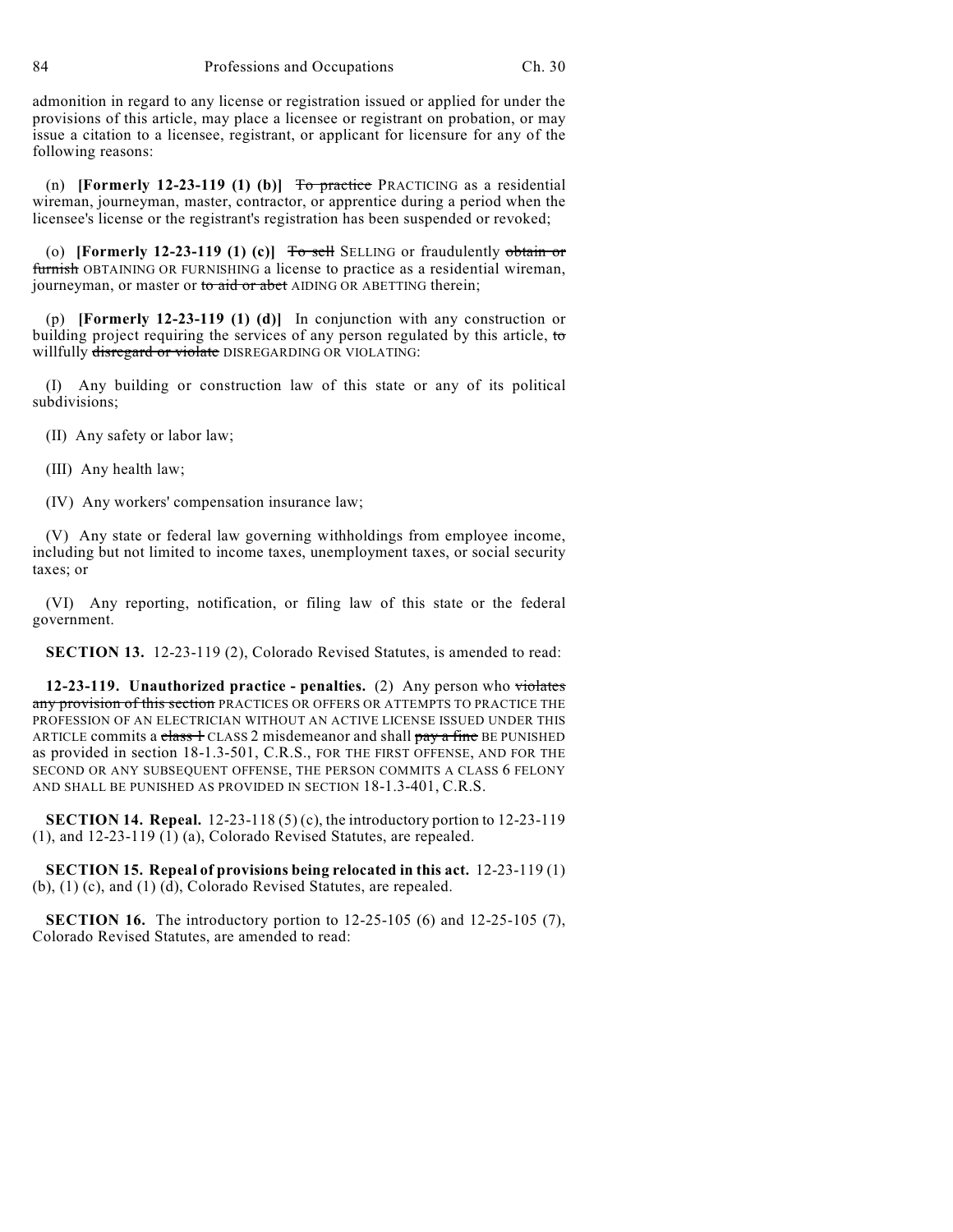admonition in regard to any license or registration issued or applied for under the provisions of this article, may place a licensee or registrant on probation, or may issue a citation to a licensee, registrant, or applicant for licensure for any of the following reasons:

(n) **[Formerly 12-23-119 (1) (b)]** To practice PRACTICING as a residential wireman, journeyman, master, contractor, or apprentice during a period when the licensee's license or the registrant's registration has been suspended or revoked;

(o) **[Formerly 12-23-119 (1) (c)]** To sell SELLING or fraudulently obtain or furnish OBTAINING OR FURNISHING a license to practice as a residential wireman, journeyman, or master or to aid or abet AIDING OR ABETTING therein;

(p) **[Formerly 12-23-119 (1) (d)]** In conjunction with any construction or building project requiring the services of any person regulated by this article, to willfully disregard or violate DISREGARDING OR VIOLATING:

(I) Any building or construction law of this state or any of its political subdivisions;

(II) Any safety or labor law;

(III) Any health law;

(IV) Any workers' compensation insurance law;

(V) Any state or federal law governing withholdings from employee income, including but not limited to income taxes, unemployment taxes, or social security taxes; or

(VI) Any reporting, notification, or filing law of this state or the federal government.

**SECTION 13.** 12-23-119 (2), Colorado Revised Statutes, is amended to read:

**12-23-119. Unauthorized practice - penalties.** (2) Any person who violates any provision of this section PRACTICES OR OFFERS OR ATTEMPTS TO PRACTICE THE PROFESSION OF AN ELECTRICIAN WITHOUT AN ACTIVE LICENSE ISSUED UNDER THIS ARTICLE commits a class 1 CLASS 2 misdemeanor and shall pay a fine BE PUNISHED as provided in section 18-1.3-501, C.R.S., FOR THE FIRST OFFENSE, AND FOR THE SECOND OR ANY SUBSEQUENT OFFENSE, THE PERSON COMMITS A CLASS 6 FELONY AND SHALL BE PUNISHED AS PROVIDED IN SECTION 18-1.3-401, C.R.S.

**SECTION 14. Repeal.** 12-23-118 (5) (c), the introductory portion to 12-23-119 (1), and 12-23-119 (1) (a), Colorado Revised Statutes, are repealed.

**SECTION 15. Repeal of provisions being relocated in this act.** 12-23-119 (1) (b), (1) (c), and (1) (d), Colorado Revised Statutes, are repealed.

**SECTION 16.** The introductory portion to 12-25-105 (6) and 12-25-105 (7), Colorado Revised Statutes, are amended to read: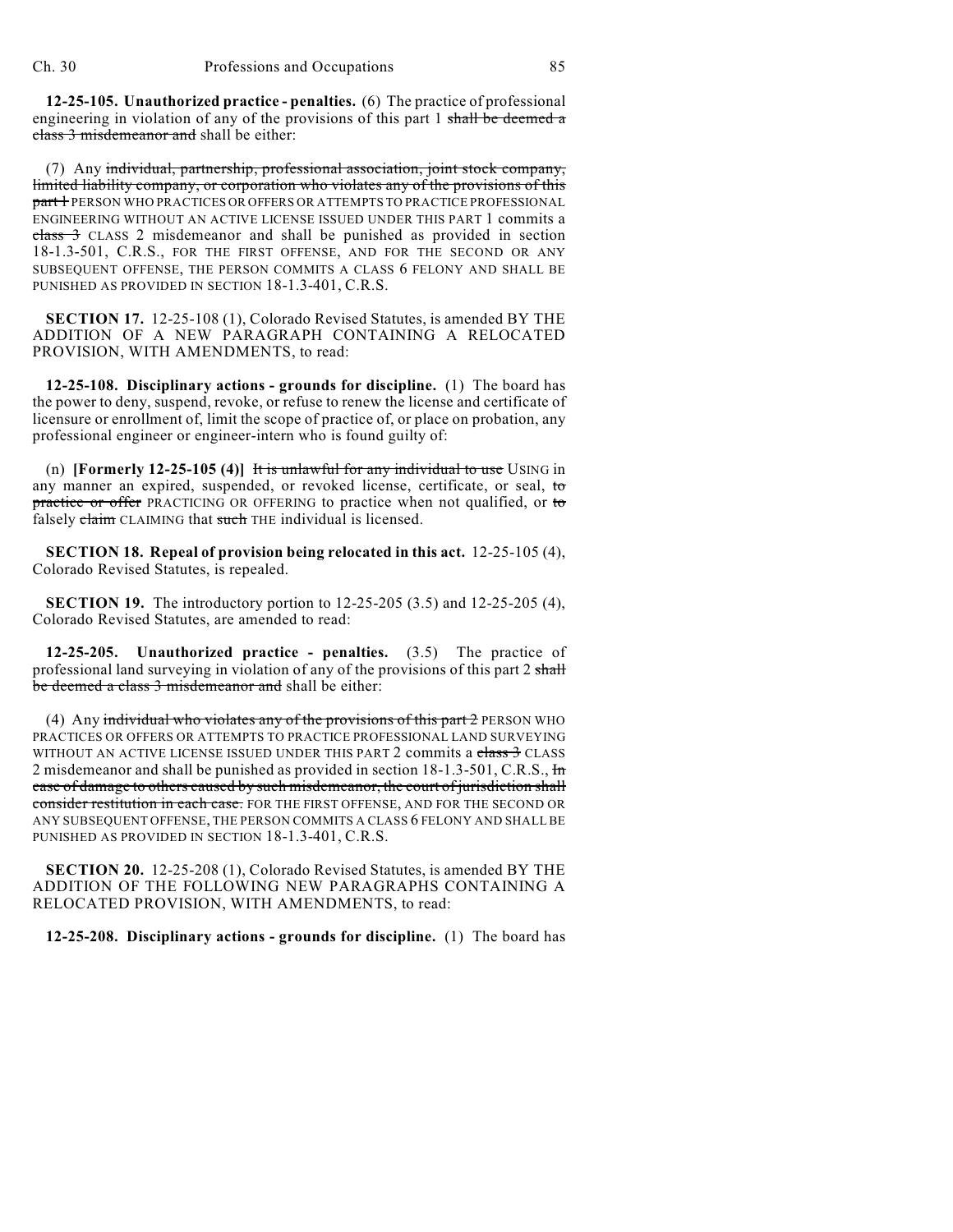**12-25-105. Unauthorized practice - penalties.** (6) The practice of professional engineering in violation of any of the provisions of this part 1 shall be deemed a class 3 misdemeanor and shall be either:

(7) Any individual, partnership, professional association, joint stock company, limited liability company, or corporation who violates any of the provisions of this part 1 PERSON WHO PRACTICES OR OFFERS OR ATTEMPTS TO PRACTICE PROFESSIONAL ENGINEERING WITHOUT AN ACTIVE LICENSE ISSUED UNDER THIS PART 1 commits a class 3 CLASS 2 misdemeanor and shall be punished as provided in section 18-1.3-501, C.R.S., FOR THE FIRST OFFENSE, AND FOR THE SECOND OR ANY SUBSEQUENT OFFENSE, THE PERSON COMMITS A CLASS 6 FELONY AND SHALL BE PUNISHED AS PROVIDED IN SECTION 18-1.3-401, C.R.S.

**SECTION 17.** 12-25-108 (1), Colorado Revised Statutes, is amended BY THE ADDITION OF A NEW PARAGRAPH CONTAINING A RELOCATED PROVISION, WITH AMENDMENTS, to read:

**12-25-108. Disciplinary actions - grounds for discipline.** (1) The board has the power to deny, suspend, revoke, or refuse to renew the license and certificate of licensure or enrollment of, limit the scope of practice of, or place on probation, any professional engineer or engineer-intern who is found guilty of:

(n) **[Formerly 12-25-105 (4)]** It is unlawful for any individual to use USING in any manner an expired, suspended, or revoked license, certificate, or seal, to practice or offer PRACTICING OR OFFERING to practice when not qualified, or to falsely claim CLAIMING that such THE individual is licensed.

**SECTION 18. Repeal of provision being relocated in this act.** 12-25-105 (4), Colorado Revised Statutes, is repealed.

**SECTION 19.** The introductory portion to 12-25-205 (3.5) and 12-25-205 (4), Colorado Revised Statutes, are amended to read:

**12-25-205. Unauthorized practice - penalties.** (3.5) The practice of professional land surveying in violation of any of the provisions of this part 2 shall be deemed a class 3 misdemeanor and shall be either:

(4) Any individual who violates any of the provisions of this part  $2$  PERSON WHO PRACTICES OR OFFERS OR ATTEMPTS TO PRACTICE PROFESSIONAL LAND SURVEYING WITHOUT AN ACTIVE LICENSE ISSUED UNDER THIS PART 2 commits a class 3 CLASS 2 misdemeanor and shall be punished as provided in section 18-1.3-501, C.R.S., In case of damage to others caused by such misdemeanor, the court of jurisdiction shall consider restitution in each case. FOR THE FIRST OFFENSE, AND FOR THE SECOND OR ANY SUBSEQUENT OFFENSE, THE PERSON COMMITS A CLASS 6 FELONY AND SHALL BE PUNISHED AS PROVIDED IN SECTION 18-1.3-401, C.R.S.

**SECTION 20.** 12-25-208 (1), Colorado Revised Statutes, is amended BY THE ADDITION OF THE FOLLOWING NEW PARAGRAPHS CONTAINING A RELOCATED PROVISION, WITH AMENDMENTS, to read:

**12-25-208. Disciplinary actions - grounds for discipline.** (1) The board has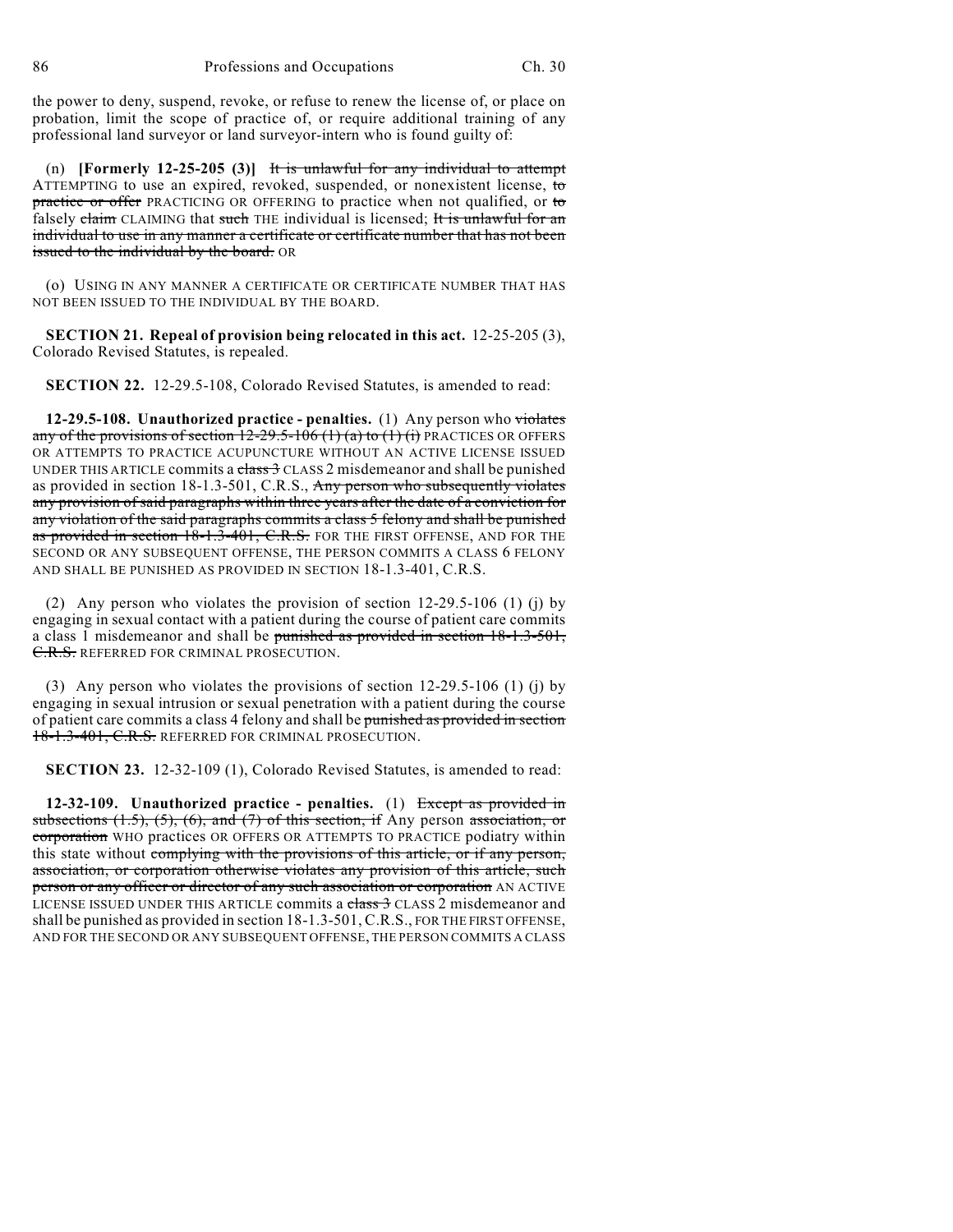the power to deny, suspend, revoke, or refuse to renew the license of, or place on probation, limit the scope of practice of, or require additional training of any professional land surveyor or land surveyor-intern who is found guilty of:

(n) **[Formerly 12-25-205 (3)]** It is unlawful for any individual to attempt ATTEMPTING to use an expired, revoked, suspended, or nonexistent license, to practice or offer PRACTICING OR OFFERING to practice when not qualified, or to falsely claim CLAIMING that such THE individual is licensed; It is unlawful for an individual to use in any manner a certificate or certificate number that has not been issued to the individual by the board. OR

(o) USING IN ANY MANNER A CERTIFICATE OR CERTIFICATE NUMBER THAT HAS NOT BEEN ISSUED TO THE INDIVIDUAL BY THE BOARD.

**SECTION 21. Repeal of provision being relocated in this act.** 12-25-205 (3), Colorado Revised Statutes, is repealed.

**SECTION 22.** 12-29.5-108, Colorado Revised Statutes, is amended to read:

**12-29.5-108. Unauthorized practice - penalties.** (1) Any person who violates any of the provisions of section  $12-29.5-106$  (1) (a) to (1) (i) PRACTICES OR OFFERS OR ATTEMPTS TO PRACTICE ACUPUNCTURE WITHOUT AN ACTIVE LICENSE ISSUED UNDER THIS ARTICLE commits a class 3 CLASS 2 misdemeanor and shall be punished as provided in section 18-1.3-501, C.R.S., Any person who subsequently violates any provision of said paragraphs within three years after the date of a conviction for any violation of the said paragraphs commits a class 5 felony and shall be punished as provided in section 18-1.3-401, C.R.S. FOR THE FIRST OFFENSE, AND FOR THE SECOND OR ANY SUBSEQUENT OFFENSE, THE PERSON COMMITS A CLASS 6 FELONY AND SHALL BE PUNISHED AS PROVIDED IN SECTION 18-1.3-401, C.R.S.

(2) Any person who violates the provision of section 12-29.5-106 (1) (j) by engaging in sexual contact with a patient during the course of patient care commits a class 1 misdemeanor and shall be punished as provided in section 18-1.3-501, C.R.S. REFERRED FOR CRIMINAL PROSECUTION.

(3) Any person who violates the provisions of section 12-29.5-106 (1) (j) by engaging in sexual intrusion or sexual penetration with a patient during the course of patient care commits a class 4 felony and shall be punished as provided in section 18-1.3-401, C.R.S. REFERRED FOR CRIMINAL PROSECUTION.

**SECTION 23.** 12-32-109 (1), Colorado Revised Statutes, is amended to read:

**12-32-109. Unauthorized practice - penalties.** (1) Except as provided in subsections  $(1.5)$ ,  $(5)$ ,  $(6)$ , and  $(7)$  of this section, if Any person association, or corporation WHO practices OR OFFERS OR ATTEMPTS TO PRACTICE podiatry within this state without complying with the provisions of this article, or if any person, association, or corporation otherwise violates any provision of this article, such person or any officer or director of any such association or corporation AN ACTIVE LICENSE ISSUED UNDER THIS ARTICLE commits a class 3 CLASS 2 misdemeanor and shall be punished as provided in section 18-1.3-501, C.R.S., FOR THE FIRST OFFENSE, AND FOR THE SECOND OR ANY SUBSEQUENT OFFENSE, THE PERSON COMMITS A CLASS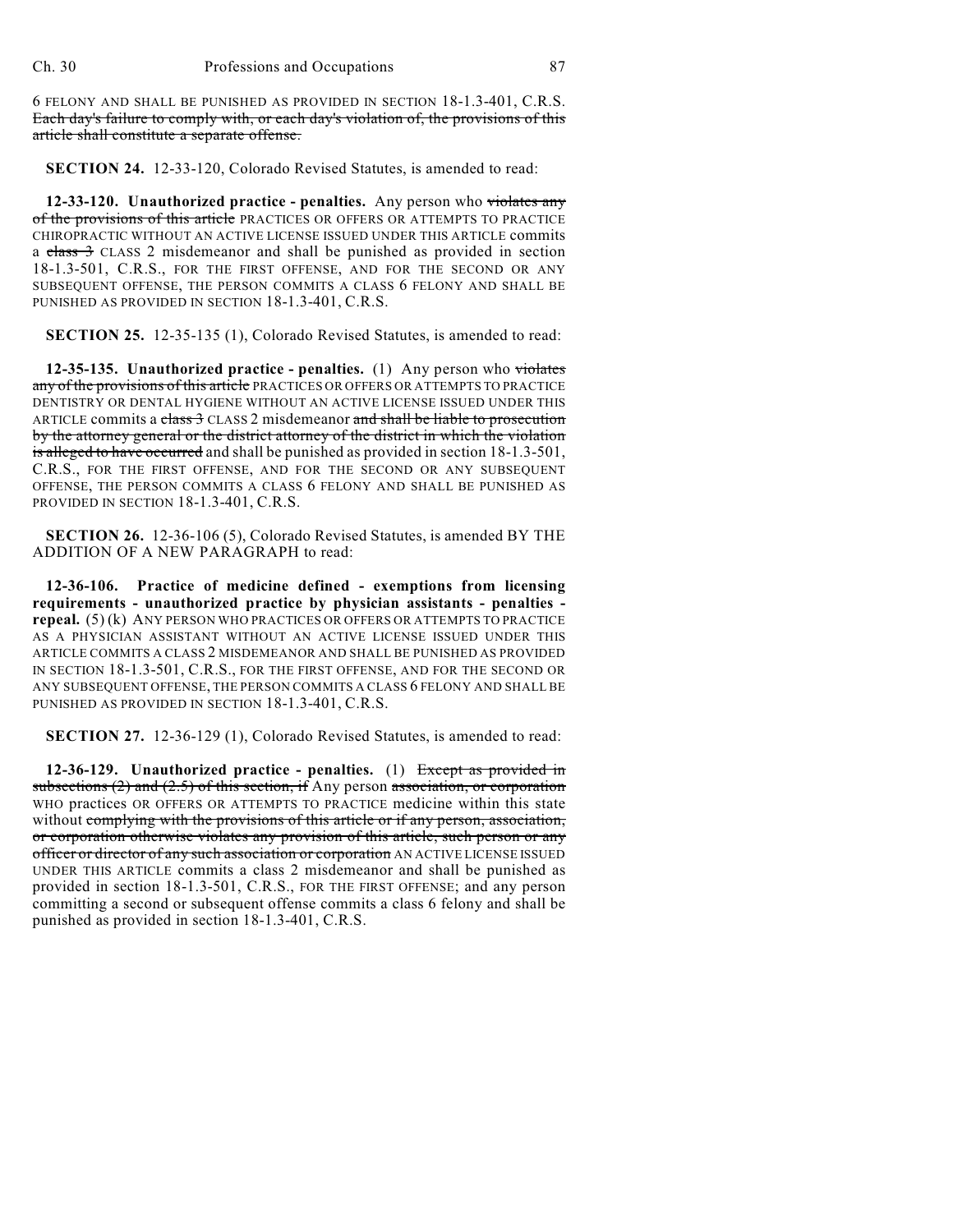6 FELONY AND SHALL BE PUNISHED AS PROVIDED IN SECTION 18-1.3-401, C.R.S. Each day's failure to comply with, or each day's violation of, the provisions of this article shall constitute a separate offense.

**SECTION 24.** 12-33-120, Colorado Revised Statutes, is amended to read:

**12-33-120. Unauthorized practice - penalties.** Any person who violates any of the provisions of this article PRACTICES OR OFFERS OR ATTEMPTS TO PRACTICE CHIROPRACTIC WITHOUT AN ACTIVE LICENSE ISSUED UNDER THIS ARTICLE commits a class 3 CLASS 2 misdemeanor and shall be punished as provided in section 18-1.3-501, C.R.S., FOR THE FIRST OFFENSE, AND FOR THE SECOND OR ANY SUBSEQUENT OFFENSE, THE PERSON COMMITS A CLASS 6 FELONY AND SHALL BE PUNISHED AS PROVIDED IN SECTION 18-1.3-401, C.R.S.

**SECTION 25.** 12-35-135 (1), Colorado Revised Statutes, is amended to read:

**12-35-135. Unauthorized practice - penalties.** (1) Any person who violates any of the provisions of this article PRACTICES OR OFFERS OR ATTEMPTS TO PRACTICE DENTISTRY OR DENTAL HYGIENE WITHOUT AN ACTIVE LICENSE ISSUED UNDER THIS ARTICLE commits a class 3 CLASS 2 misdemeanor and shall be liable to prosecution by the attorney general or the district attorney of the district in which the violation is alleged to have occurred and shall be punished as provided in section 18-1.3-501, C.R.S., FOR THE FIRST OFFENSE, AND FOR THE SECOND OR ANY SUBSEQUENT OFFENSE, THE PERSON COMMITS A CLASS 6 FELONY AND SHALL BE PUNISHED AS PROVIDED IN SECTION 18-1.3-401, C.R.S.

**SECTION 26.** 12-36-106 (5), Colorado Revised Statutes, is amended BY THE ADDITION OF A NEW PARAGRAPH to read:

**12-36-106. Practice of medicine defined - exemptions from licensing requirements - unauthorized practice by physician assistants - penalties repeal.** (5) (k) ANY PERSON WHO PRACTICES OR OFFERS OR ATTEMPTS TO PRACTICE AS A PHYSICIAN ASSISTANT WITHOUT AN ACTIVE LICENSE ISSUED UNDER THIS ARTICLE COMMITS A CLASS 2 MISDEMEANOR AND SHALL BE PUNISHED AS PROVIDED IN SECTION 18-1.3-501, C.R.S., FOR THE FIRST OFFENSE, AND FOR THE SECOND OR ANY SUBSEQUENT OFFENSE, THE PERSON COMMITS A CLASS 6 FELONY AND SHALL BE PUNISHED AS PROVIDED IN SECTION 18-1.3-401, C.R.S.

**SECTION 27.** 12-36-129 (1), Colorado Revised Statutes, is amended to read:

**12-36-129. Unauthorized practice - penalties.** (1) Except as provided in subsections  $(2)$  and  $(2.5)$  of this section, if Any person association, or corporation WHO practices OR OFFERS OR ATTEMPTS TO PRACTICE medicine within this state without complying with the provisions of this article or if any person, association, or corporation otherwise violates any provision of this article, such person or any officer or director of any such association or corporation AN ACTIVE LICENSE ISSUED UNDER THIS ARTICLE commits a class 2 misdemeanor and shall be punished as provided in section 18-1.3-501, C.R.S., FOR THE FIRST OFFENSE; and any person committing a second or subsequent offense commits a class 6 felony and shall be punished as provided in section 18-1.3-401, C.R.S.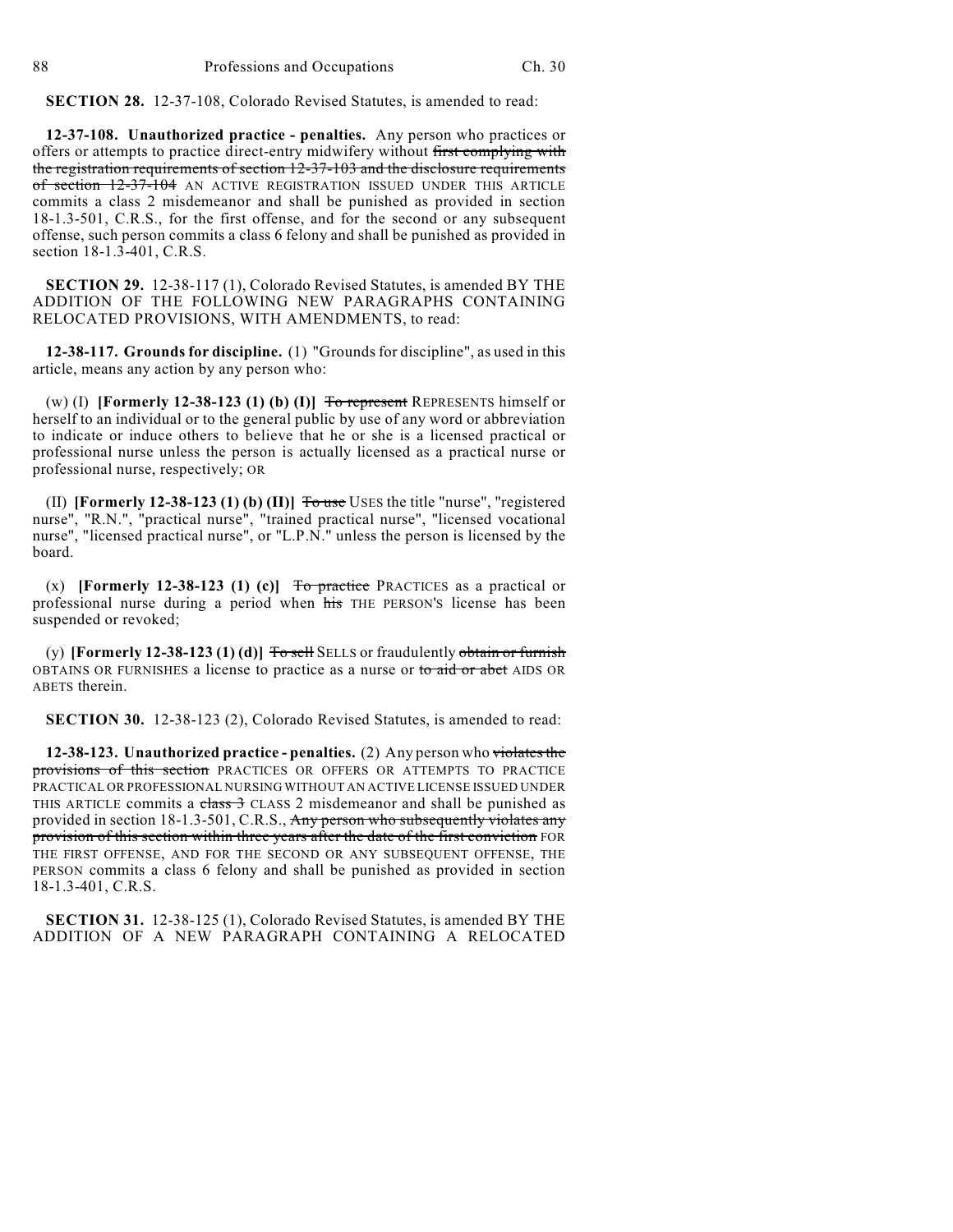**SECTION 28.** 12-37-108, Colorado Revised Statutes, is amended to read:

**12-37-108. Unauthorized practice - penalties.** Any person who practices or offers or attempts to practice direct-entry midwifery without first complying with the registration requirements of section 12-37-103 and the disclosure requirements of section 12-37-104 AN ACTIVE REGISTRATION ISSUED UNDER THIS ARTICLE commits a class 2 misdemeanor and shall be punished as provided in section 18-1.3-501, C.R.S., for the first offense, and for the second or any subsequent offense, such person commits a class 6 felony and shall be punished as provided in section 18-1.3-401, C.R.S.

**SECTION 29.** 12-38-117 (1), Colorado Revised Statutes, is amended BY THE ADDITION OF THE FOLLOWING NEW PARAGRAPHS CONTAINING RELOCATED PROVISIONS, WITH AMENDMENTS, to read:

**12-38-117. Grounds for discipline.** (1) "Grounds for discipline", as used in this article, means any action by any person who:

(w) (I) **[Formerly 12-38-123 (1) (b) (I)]**  $\overline{To}$  represent REPRESENTS himself or herself to an individual or to the general public by use of any word or abbreviation to indicate or induce others to believe that he or she is a licensed practical or professional nurse unless the person is actually licensed as a practical nurse or professional nurse, respectively; OR

(II) **[Formerly 12-38-123 (1) (b) (II)]** To use USES the title "nurse", "registered nurse", "R.N.", "practical nurse", "trained practical nurse", "licensed vocational nurse", "licensed practical nurse", or "L.P.N." unless the person is licensed by the board.

 $(x)$  **[Formerly 12-38-123 (1) (c)]** To practice PRACTICES as a practical or professional nurse during a period when his THE PERSON'S license has been suspended or revoked;

(y) **[Formerly 12-38-123 (1) (d)]**  $\overline{T}$  or  $\overline{B}$  EELLS or fraudulently obtain or furnish OBTAINS OR FURNISHES a license to practice as a nurse or to aid or abet AIDS OR ABETS therein.

**SECTION 30.** 12-38-123 (2), Colorado Revised Statutes, is amended to read:

**12-38-123. Unauthorized practice - penalties.** (2) Any person who violates the provisions of this section PRACTICES OR OFFERS OR ATTEMPTS TO PRACTICE PRACTICAL OR PROFESSIONAL NURSING WITHOUT AN ACTIVE LICENSE ISSUED UNDER THIS ARTICLE commits a  $\frac{class}{3}$  CLASS 2 misdemeanor and shall be punished as provided in section 18-1.3-501, C.R.S., Any person who subsequently violates any provision of this section within three years after the date of the first conviction FOR THE FIRST OFFENSE, AND FOR THE SECOND OR ANY SUBSEQUENT OFFENSE, THE PERSON commits a class 6 felony and shall be punished as provided in section 18-1.3-401, C.R.S.

**SECTION 31.** 12-38-125 (1), Colorado Revised Statutes, is amended BY THE ADDITION OF A NEW PARAGRAPH CONTAINING A RELOCATED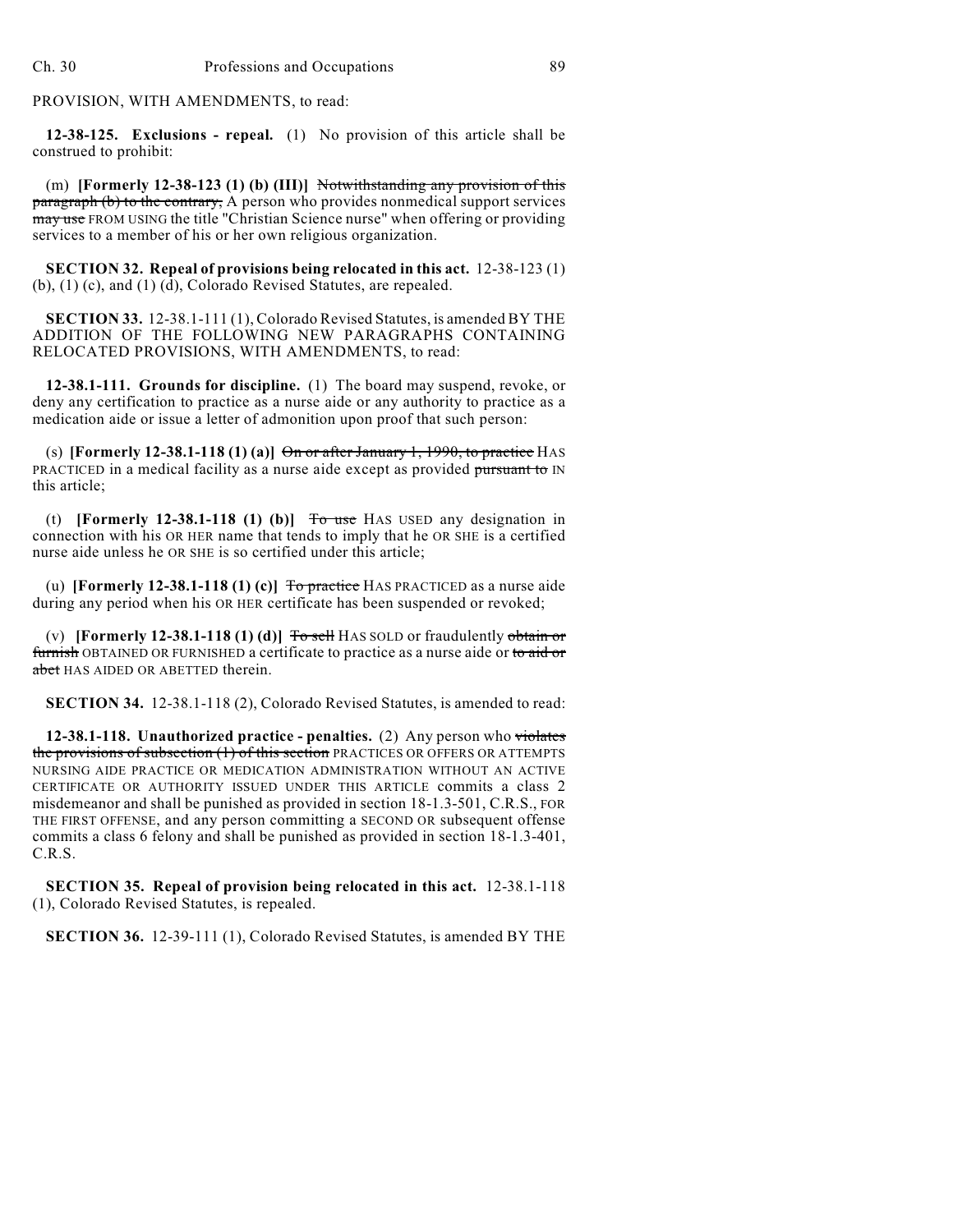PROVISION, WITH AMENDMENTS, to read:

**12-38-125. Exclusions - repeal.** (1) No provision of this article shall be construed to prohibit:

(m) **[Formerly 12-38-123 (1) (b) (III)]** Notwithstanding any provision of this paragraph (b) to the contrary, A person who provides nonmedical support services may use FROM USING the title "Christian Science nurse" when offering or providing services to a member of his or her own religious organization.

**SECTION 32. Repeal of provisions being relocated in this act.** 12-38-123 (1) (b), (1) (c), and (1) (d), Colorado Revised Statutes, are repealed.

**SECTION 33.** 12-38.1-111 (1), Colorado Revised Statutes, is amended BY THE ADDITION OF THE FOLLOWING NEW PARAGRAPHS CONTAINING RELOCATED PROVISIONS, WITH AMENDMENTS, to read:

**12-38.1-111. Grounds for discipline.** (1) The board may suspend, revoke, or deny any certification to practice as a nurse aide or any authority to practice as a medication aide or issue a letter of admonition upon proof that such person:

(s) **[Formerly 12-38.1-118 (1) (a)]**  $\Theta$ n or after January 1, 1990, to practice HAS PRACTICED in a medical facility as a nurse aide except as provided pursuant to IN this article;

(t) **[Formerly 12-38.1-118 (1) (b)]** To use HAS USED any designation in connection with his OR HER name that tends to imply that he OR SHE is a certified nurse aide unless he OR SHE is so certified under this article;

(u) **[Formerly 12-38.1-118 (1) (c)]** To practice HAS PRACTICED as a nurse aide during any period when his OR HER certificate has been suspended or revoked;

(v) **[Formerly 12-38.1-118 (1) (d)]**  $\overline{T}$   $\overline{0}$   $\overline{5}$   $\overline{1}$  HAS SOLD or fraudulently  $\overline{0}$   $\overline{1}$   $\overline{1}$   $\overline{0}$ furnish OBTAINED OR FURNISHED a certificate to practice as a nurse aide or to aid or abet HAS AIDED OR ABETTED therein.

**SECTION 34.** 12-38.1-118 (2), Colorado Revised Statutes, is amended to read:

**12-38.1-118. Unauthorized practice - penalties.** (2) Any person who violates the provisions of subsection (1) of this section PRACTICES OR OFFERS OR ATTEMPTS NURSING AIDE PRACTICE OR MEDICATION ADMINISTRATION WITHOUT AN ACTIVE CERTIFICATE OR AUTHORITY ISSUED UNDER THIS ARTICLE commits a class 2 misdemeanor and shall be punished as provided in section 18-1.3-501, C.R.S., FOR THE FIRST OFFENSE, and any person committing a SECOND OR subsequent offense commits a class 6 felony and shall be punished as provided in section 18-1.3-401, C.R.S.

**SECTION 35. Repeal of provision being relocated in this act.** 12-38.1-118 (1), Colorado Revised Statutes, is repealed.

**SECTION 36.** 12-39-111 (1), Colorado Revised Statutes, is amended BY THE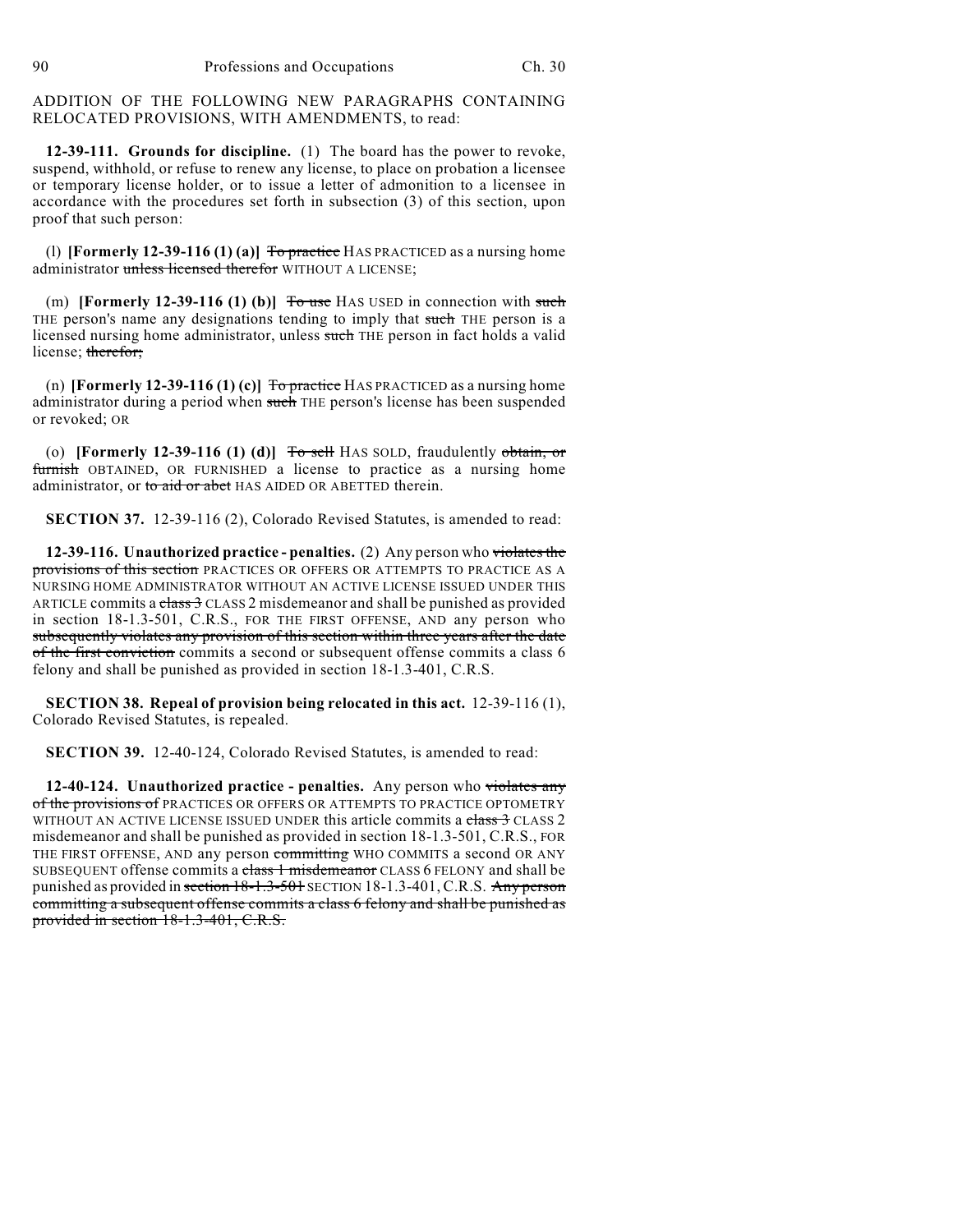ADDITION OF THE FOLLOWING NEW PARAGRAPHS CONTAINING RELOCATED PROVISIONS, WITH AMENDMENTS, to read:

**12-39-111. Grounds for discipline.** (1) The board has the power to revoke, suspend, withhold, or refuse to renew any license, to place on probation a licensee or temporary license holder, or to issue a letter of admonition to a licensee in accordance with the procedures set forth in subsection (3) of this section, upon proof that such person:

(1) **[Formerly 12-39-116 (1) (a)]**  $\overline{To}$  practice HAS PRACTICED as a nursing home administrator unless licensed therefor WITHOUT A LICENSE;

(m) **[Formerly 12-39-116 (1) (b)]** To use HAS USED in connection with such THE person's name any designations tending to imply that such THE person is a licensed nursing home administrator, unless such THE person in fact holds a valid license; therefor;

(n) **[Formerly 12-39-116 (1) (c)]**  $\overline{To}$  practice HAS PRACTICED as a nursing home administrator during a period when such THE person's license has been suspended or revoked; OR

(o) **[Formerly 12-39-116 (1) (d)]** To sell HAS SOLD, fraudulently obtain, or furnish OBTAINED, OR FURNISHED a license to practice as a nursing home administrator, or to aid or abet HAS AIDED OR ABETTED therein.

**SECTION 37.** 12-39-116 (2), Colorado Revised Statutes, is amended to read:

**12-39-116. Unauthorized practice - penalties.** (2) Any person who violates the provisions of this section PRACTICES OR OFFERS OR ATTEMPTS TO PRACTICE AS A NURSING HOME ADMINISTRATOR WITHOUT AN ACTIVE LICENSE ISSUED UNDER THIS ARTICLE commits a class  $3$  CLASS 2 misdemeanor and shall be punished as provided in section 18-1.3-501, C.R.S., FOR THE FIRST OFFENSE, AND any person who subsequently violates any provision of this section within three years after the date of the first conviction commits a second or subsequent offense commits a class 6 felony and shall be punished as provided in section 18-1.3-401, C.R.S.

**SECTION 38. Repeal of provision being relocated in this act.** 12-39-116 (1), Colorado Revised Statutes, is repealed.

**SECTION 39.** 12-40-124, Colorado Revised Statutes, is amended to read:

**12-40-124. Unauthorized practice - penalties.** Any person who violates any of the provisions of PRACTICES OR OFFERS OR ATTEMPTS TO PRACTICE OPTOMETRY WITHOUT AN ACTIVE LICENSE ISSUED UNDER this article commits a class 3 CLASS 2 misdemeanor and shall be punished as provided in section 18-1.3-501, C.R.S., FOR THE FIRST OFFENSE, AND any person committing WHO COMMITS a second OR ANY SUBSEQUENT offense commits a class 1 misdemeanor CLASS 6 FELONY and shall be punished as provided in section  $18-1.3-501$  SECTION 18-1.3-401, C.R.S. Any person committing a subsequent offense commits a class 6 felony and shall be punished as provided in section 18-1.3-401, C.R.S.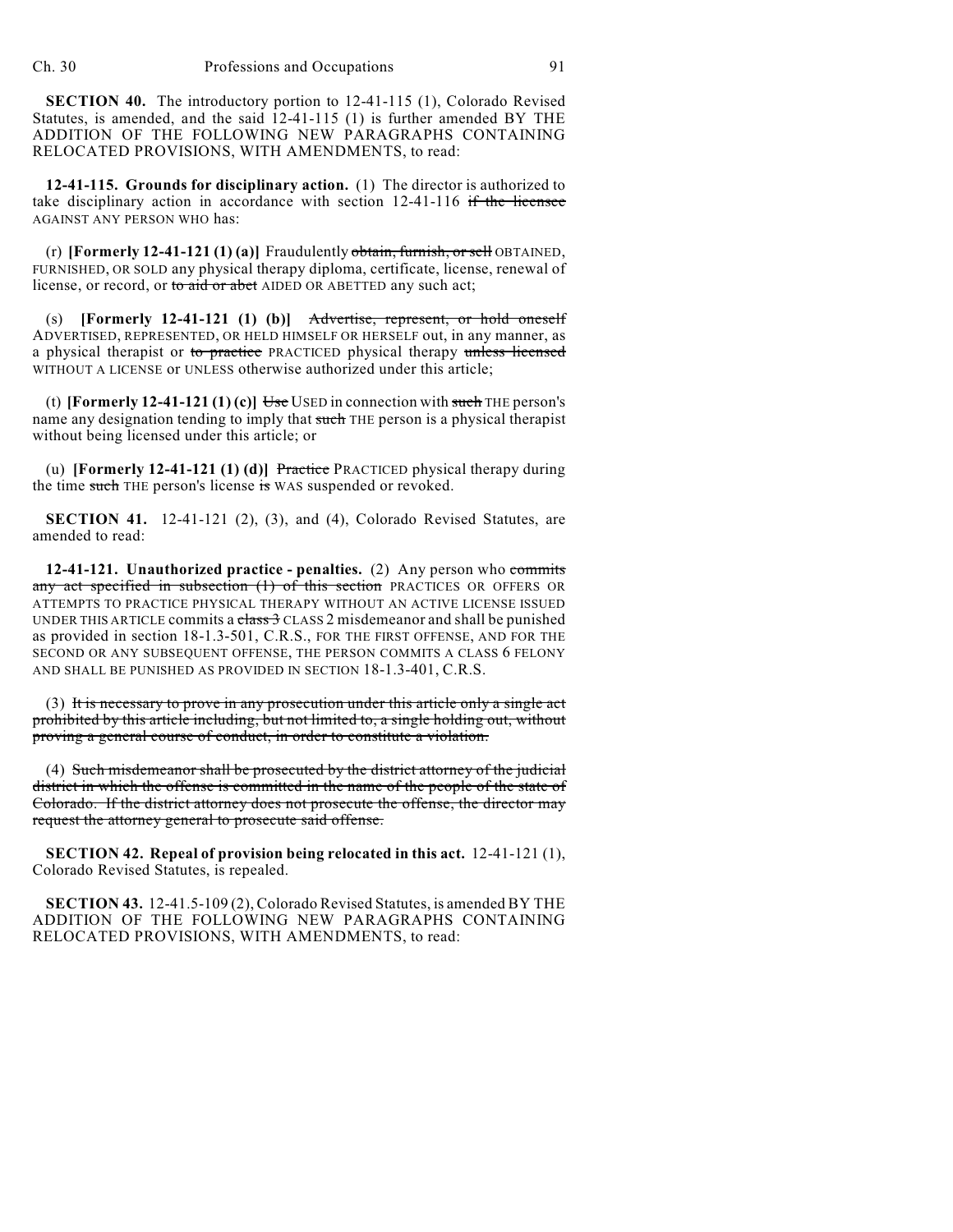**SECTION 40.** The introductory portion to 12-41-115 (1), Colorado Revised Statutes, is amended, and the said 12-41-115 (1) is further amended BY THE ADDITION OF THE FOLLOWING NEW PARAGRAPHS CONTAINING RELOCATED PROVISIONS, WITH AMENDMENTS, to read:

**12-41-115. Grounds for disciplinary action.** (1) The director is authorized to take disciplinary action in accordance with section  $12-41-116$  if the licensee AGAINST ANY PERSON WHO has:

(r) **[Formerly 12-41-121 (1) (a)]** Fraudulently obtain, furnish, or sell OBTAINED, FURNISHED, OR SOLD any physical therapy diploma, certificate, license, renewal of license, or record, or to aid or abet AIDED OR ABETTED any such act;

(s) **[Formerly 12-41-121 (1) (b)]** Advertise, represent, or hold oneself ADVERTISED, REPRESENTED, OR HELD HIMSELF OR HERSELF out, in any manner, as a physical therapist or to practice PRACTICED physical therapy unless licensed WITHOUT A LICENSE or UNLESS otherwise authorized under this article;

(t) **[Formerly 12-41-121 (1) (c)]**  $\overline{\text{Use}}$  USED in connection with such THE person's name any designation tending to imply that such THE person is a physical therapist without being licensed under this article; or

(u) **[Formerly 12-41-121 (1) (d)]** Practice PRACTICED physical therapy during the time such THE person's license is WAS suspended or revoked.

**SECTION 41.** 12-41-121 (2), (3), and (4), Colorado Revised Statutes, are amended to read:

**12-41-121. Unauthorized practice - penalties.** (2) Any person who commits any act specified in subsection (1) of this section PRACTICES OR OFFERS OR ATTEMPTS TO PRACTICE PHYSICAL THERAPY WITHOUT AN ACTIVE LICENSE ISSUED UNDER THIS ARTICLE commits a  $\frac{1}{100}$  CLASS 2 misdemeanor and shall be punished as provided in section 18-1.3-501, C.R.S., FOR THE FIRST OFFENSE, AND FOR THE SECOND OR ANY SUBSEQUENT OFFENSE, THE PERSON COMMITS A CLASS 6 FELONY AND SHALL BE PUNISHED AS PROVIDED IN SECTION 18-1.3-401, C.R.S.

(3) It is necessary to prove in any prosecution under this article only a single act prohibited by this article including, but not limited to, a single holding out, without proving a general course of conduct, in order to constitute a violation.

(4) Such misdemeanor shall be prosecuted by the district attorney of the judicial district in which the offense is committed in the name of the people of the state of Colorado. If the district attorney does not prosecute the offense, the director may request the attorney general to prosecute said offense.

**SECTION 42. Repeal of provision being relocated in this act.** 12-41-121 (1), Colorado Revised Statutes, is repealed.

**SECTION 43.** 12-41.5-109 (2), Colorado Revised Statutes, is amended BY THE ADDITION OF THE FOLLOWING NEW PARAGRAPHS CONTAINING RELOCATED PROVISIONS, WITH AMENDMENTS, to read: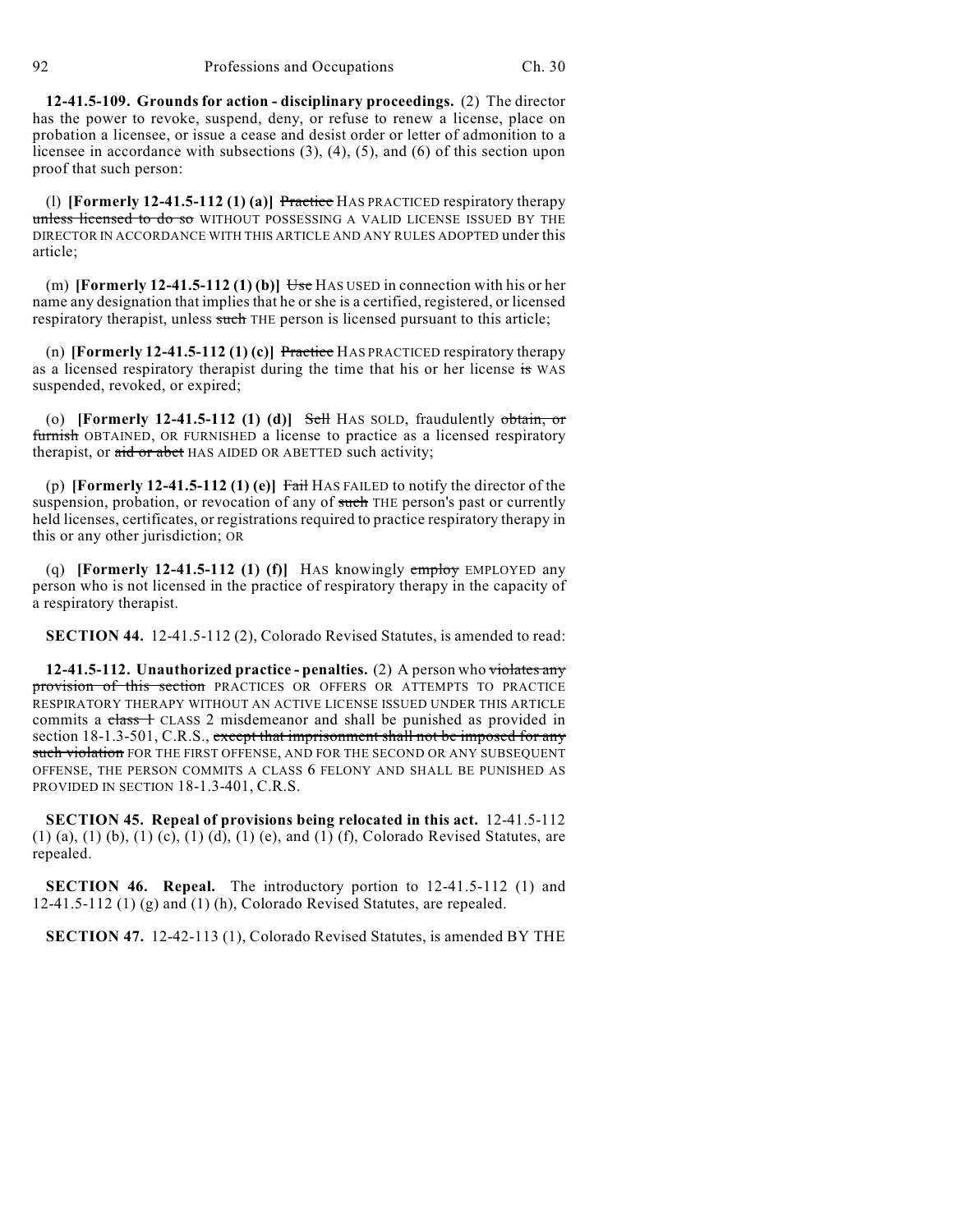**12-41.5-109. Grounds for action - disciplinary proceedings.** (2) The director has the power to revoke, suspend, deny, or refuse to renew a license, place on probation a licensee, or issue a cease and desist order or letter of admonition to a licensee in accordance with subsections (3), (4), (5), and (6) of this section upon proof that such person:

(l) **[Formerly 12-41.5-112 (1) (a)]** Practice HAS PRACTICED respiratory therapy unless licensed to do so WITHOUT POSSESSING A VALID LICENSE ISSUED BY THE DIRECTOR IN ACCORDANCE WITH THIS ARTICLE AND ANY RULES ADOPTED under this article;

(m) **[Formerly 12-41.5-112 (1) (b)]** Use HAS USED in connection with his or her name any designation that implies that he or she is a certified, registered, or licensed respiratory therapist, unless such THE person is licensed pursuant to this article;

(n) **[Formerly 12-41.5-112 (1) (c)]** Practice HAS PRACTICED respiratory therapy as a licensed respiratory therapist during the time that his or her license is WAS suspended, revoked, or expired;

(o) **[Formerly 12-41.5-112 (1) (d)]** Sell HAS SOLD, fraudulently obtain, or furnish OBTAINED, OR FURNISHED a license to practice as a licensed respiratory therapist, or aid or abet HAS AIDED OR ABETTED such activity;

(p) **[Formerly 12-41.5-112 (1) (e)]** Fail HAS FAILED to notify the director of the suspension, probation, or revocation of any of such THE person's past or currently held licenses, certificates, or registrations required to practice respiratory therapy in this or any other jurisdiction; OR

(q) **[Formerly 12-41.5-112 (1) (f)]** HAS knowingly employ EMPLOYED any person who is not licensed in the practice of respiratory therapy in the capacity of a respiratory therapist.

**SECTION 44.** 12-41.5-112 (2), Colorado Revised Statutes, is amended to read:

**12-41.5-112. Unauthorized practice - penalties.** (2) A person who violates any provision of this section PRACTICES OR OFFERS OR ATTEMPTS TO PRACTICE RESPIRATORY THERAPY WITHOUT AN ACTIVE LICENSE ISSUED UNDER THIS ARTICLE commits a class 1 CLASS 2 misdemeanor and shall be punished as provided in section 18-1.3-501, C.R.S., except that imprisonment shall not be imposed for any such violation FOR THE FIRST OFFENSE, AND FOR THE SECOND OR ANY SUBSEQUENT OFFENSE, THE PERSON COMMITS A CLASS 6 FELONY AND SHALL BE PUNISHED AS PROVIDED IN SECTION 18-1.3-401, C.R.S.

**SECTION 45. Repeal of provisions being relocated in this act.** 12-41.5-112 (1) (a), (1) (b), (1) (c), (1) (d), (1) (e), and (1) (f), Colorado Revised Statutes, are repealed.

**SECTION 46. Repeal.** The introductory portion to 12-41.5-112 (1) and 12-41.5-112 (1) (g) and (1) (h), Colorado Revised Statutes, are repealed.

**SECTION 47.** 12-42-113 (1), Colorado Revised Statutes, is amended BY THE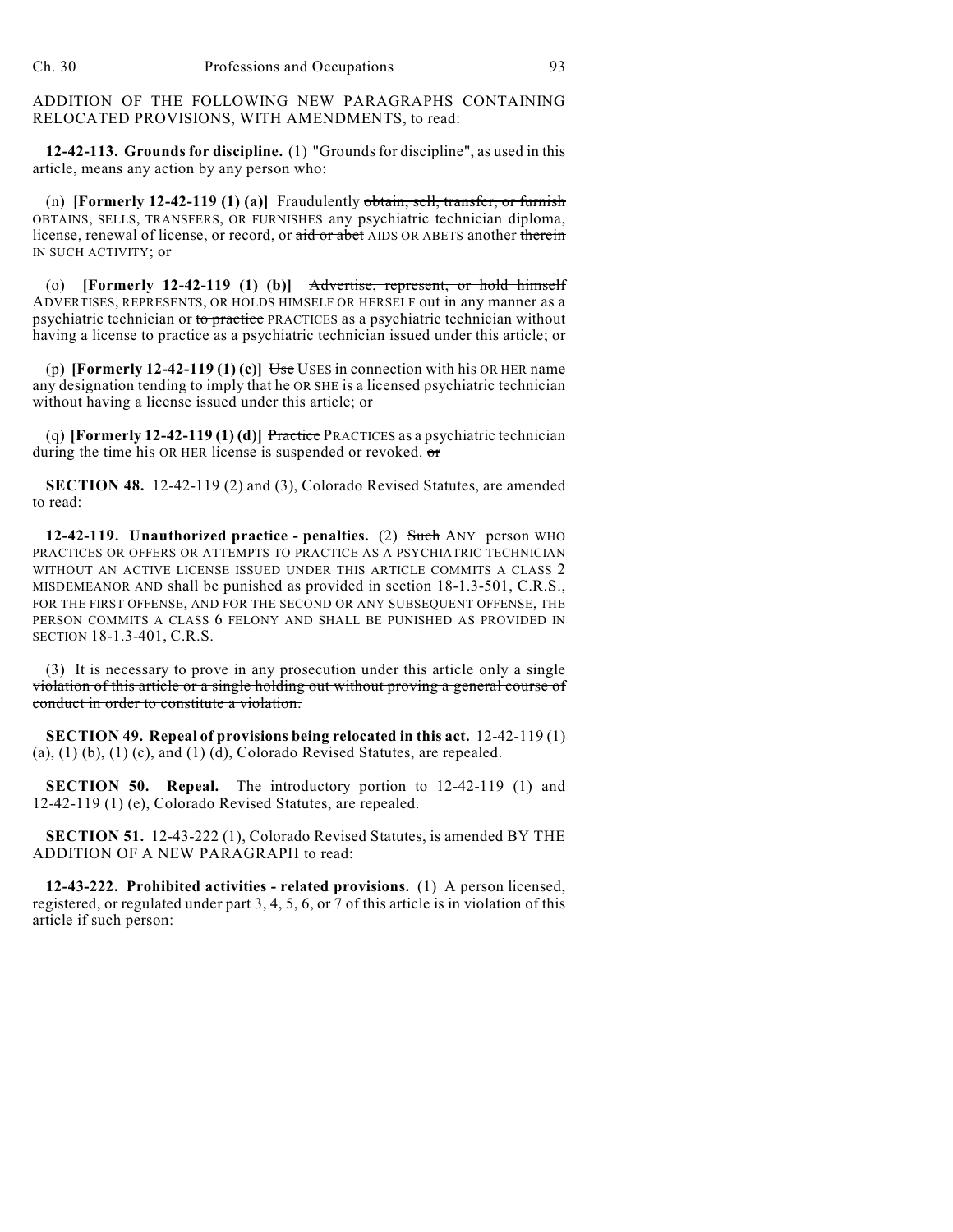ADDITION OF THE FOLLOWING NEW PARAGRAPHS CONTAINING RELOCATED PROVISIONS, WITH AMENDMENTS, to read:

**12-42-113. Grounds for discipline.** (1) "Grounds for discipline", as used in this article, means any action by any person who:

(n) **[Formerly 12-42-119 (1) (a)]** Fraudulently obtain, sell, transfer, or furnish OBTAINS, SELLS, TRANSFERS, OR FURNISHES any psychiatric technician diploma, license, renewal of license, or record, or aid or abet AIDS OR ABETS another therein IN SUCH ACTIVITY; or

(o) **[Formerly 12-42-119 (1) (b)]** Advertise, represent, or hold himself ADVERTISES, REPRESENTS, OR HOLDS HIMSELF OR HERSELF out in any manner as a psychiatric technician or to practice PRACTICES as a psychiatric technician without having a license to practice as a psychiatric technician issued under this article; or

(p) **[Formerly 12-42-119 (1) (c)**  $\overline{Use}$  USES in connection with his OR HER name any designation tending to imply that he OR SHE is a licensed psychiatric technician without having a license issued under this article; or

(q) **[Formerly 12-42-119 (1) (d)]** Practice PRACTICES as a psychiatric technician during the time his OR HER license is suspended or revoked. or

**SECTION 48.** 12-42-119 (2) and (3), Colorado Revised Statutes, are amended to read:

**12-42-119. Unauthorized practice - penalties.** (2) Such ANY person WHO PRACTICES OR OFFERS OR ATTEMPTS TO PRACTICE AS A PSYCHIATRIC TECHNICIAN WITHOUT AN ACTIVE LICENSE ISSUED UNDER THIS ARTICLE COMMITS A CLASS 2 MISDEMEANOR AND shall be punished as provided in section 18-1.3-501, C.R.S., FOR THE FIRST OFFENSE, AND FOR THE SECOND OR ANY SUBSEQUENT OFFENSE, THE PERSON COMMITS A CLASS 6 FELONY AND SHALL BE PUNISHED AS PROVIDED IN SECTION 18-1.3-401, C.R.S.

(3) It is necessary to prove in any prosecution under this article only a single violation of this article or a single holding out without proving a general course of conduct in order to constitute a violation.

**SECTION 49. Repeal of provisions being relocated in this act.** 12-42-119 (1) (a), (1) (b), (1) (c), and (1) (d), Colorado Revised Statutes, are repealed.

**SECTION 50. Repeal.** The introductory portion to 12-42-119 (1) and 12-42-119 (1) (e), Colorado Revised Statutes, are repealed.

**SECTION 51.** 12-43-222 (1), Colorado Revised Statutes, is amended BY THE ADDITION OF A NEW PARAGRAPH to read:

**12-43-222. Prohibited activities - related provisions.** (1) A person licensed, registered, or regulated under part 3, 4, 5, 6, or 7 of this article is in violation of this article if such person: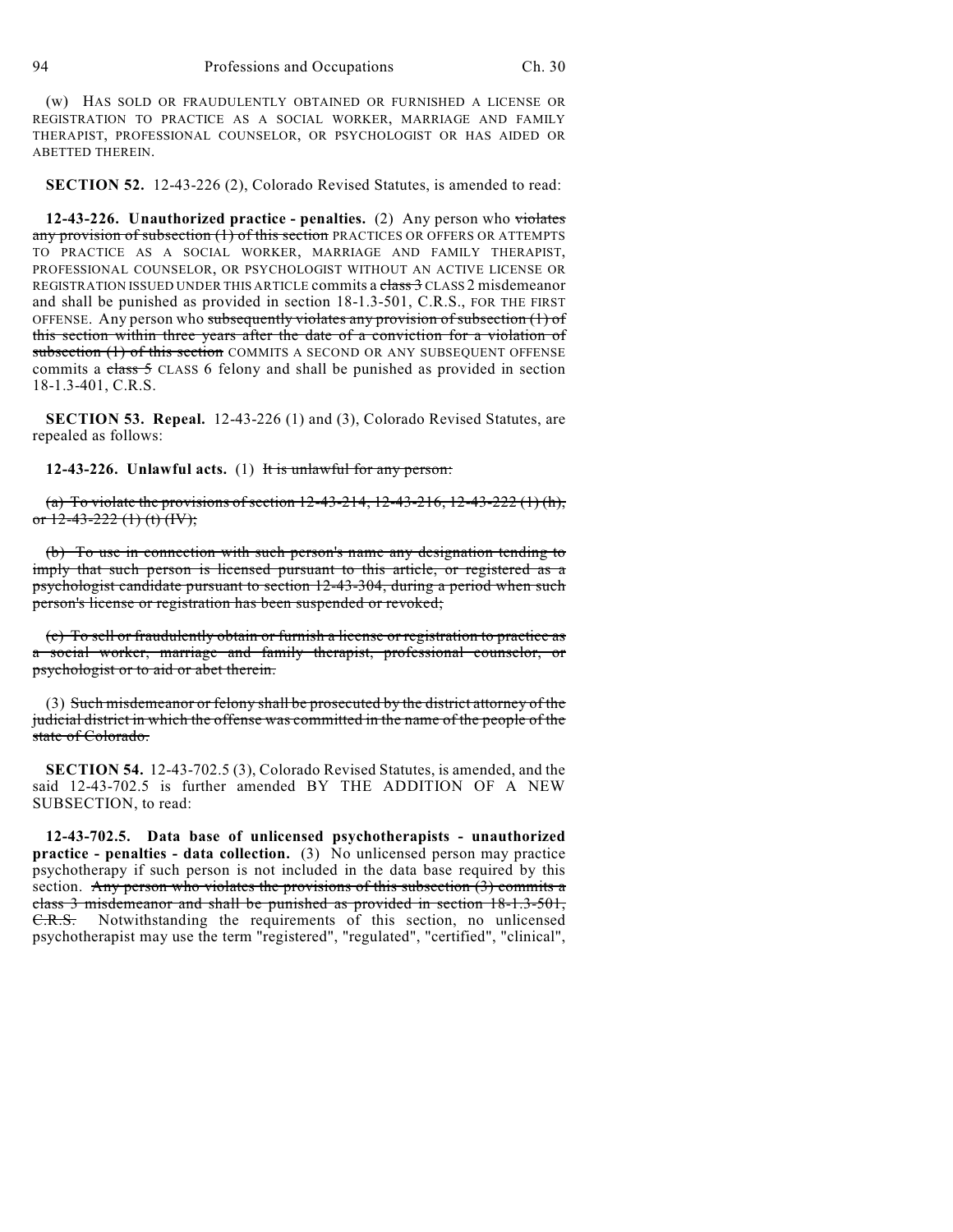(w) HAS SOLD OR FRAUDULENTLY OBTAINED OR FURNISHED A LICENSE OR REGISTRATION TO PRACTICE AS A SOCIAL WORKER, MARRIAGE AND FAMILY THERAPIST, PROFESSIONAL COUNSELOR, OR PSYCHOLOGIST OR HAS AIDED OR ABETTED THEREIN.

**SECTION 52.** 12-43-226 (2), Colorado Revised Statutes, is amended to read:

**12-43-226. Unauthorized practice - penalties.** (2) Any person who violates any provision of subsection (1) of this section PRACTICES OR OFFERS OR ATTEMPTS TO PRACTICE AS A SOCIAL WORKER, MARRIAGE AND FAMILY THERAPIST, PROFESSIONAL COUNSELOR, OR PSYCHOLOGIST WITHOUT AN ACTIVE LICENSE OR REGISTRATION ISSUED UNDER THIS ARTICLE commits a class 3 CLASS 2 misdemeanor and shall be punished as provided in section 18-1.3-501, C.R.S., FOR THE FIRST OFFENSE. Any person who subsequently violates any provision of subsection (1) of this section within three years after the date of a conviction for a violation of subsection (1) of this section COMMITS A SECOND OR ANY SUBSEQUENT OFFENSE commits a class 5 CLASS 6 felony and shall be punished as provided in section 18-1.3-401, C.R.S.

**SECTION 53. Repeal.** 12-43-226 (1) and (3), Colorado Revised Statutes, are repealed as follows:

**12-43-226. Unlawful acts.** (1) It is unlawful for any person:

(a) To violate the provisions of section  $12-43-214$ ,  $12-43-216$ ,  $12-43-222$  (1) (h), or  $12-43-222$  (1) (t) (IV);

(b) To use in connection with such person's name any designation tending to imply that such person is licensed pursuant to this article, or registered as a psychologist candidate pursuant to section 12-43-304, during a period when such person's license or registration has been suspended or revoked;

(c) To sell or fraudulently obtain or furnish a license or registration to practice as a social worker, marriage and family therapist, professional counselor, or psychologist or to aid or abet therein.

(3) Such misdemeanor or felony shall be prosecuted by the district attorney of the judicial district in which the offense was committed in the name of the people of the state of Colorado.

**SECTION 54.** 12-43-702.5 (3), Colorado Revised Statutes, is amended, and the said 12-43-702.5 is further amended BY THE ADDITION OF A NEW SUBSECTION, to read:

**12-43-702.5. Data base of unlicensed psychotherapists - unauthorized practice - penalties - data collection.** (3) No unlicensed person may practice psychotherapy if such person is not included in the data base required by this section. Any person who violates the provisions of this subsection (3) commits a class 3 misdemeanor and shall be punished as provided in section 18-1.3-501, C.R.S. Notwithstanding the requirements of this section, no unlicensed psychotherapist may use the term "registered", "regulated", "certified", "clinical",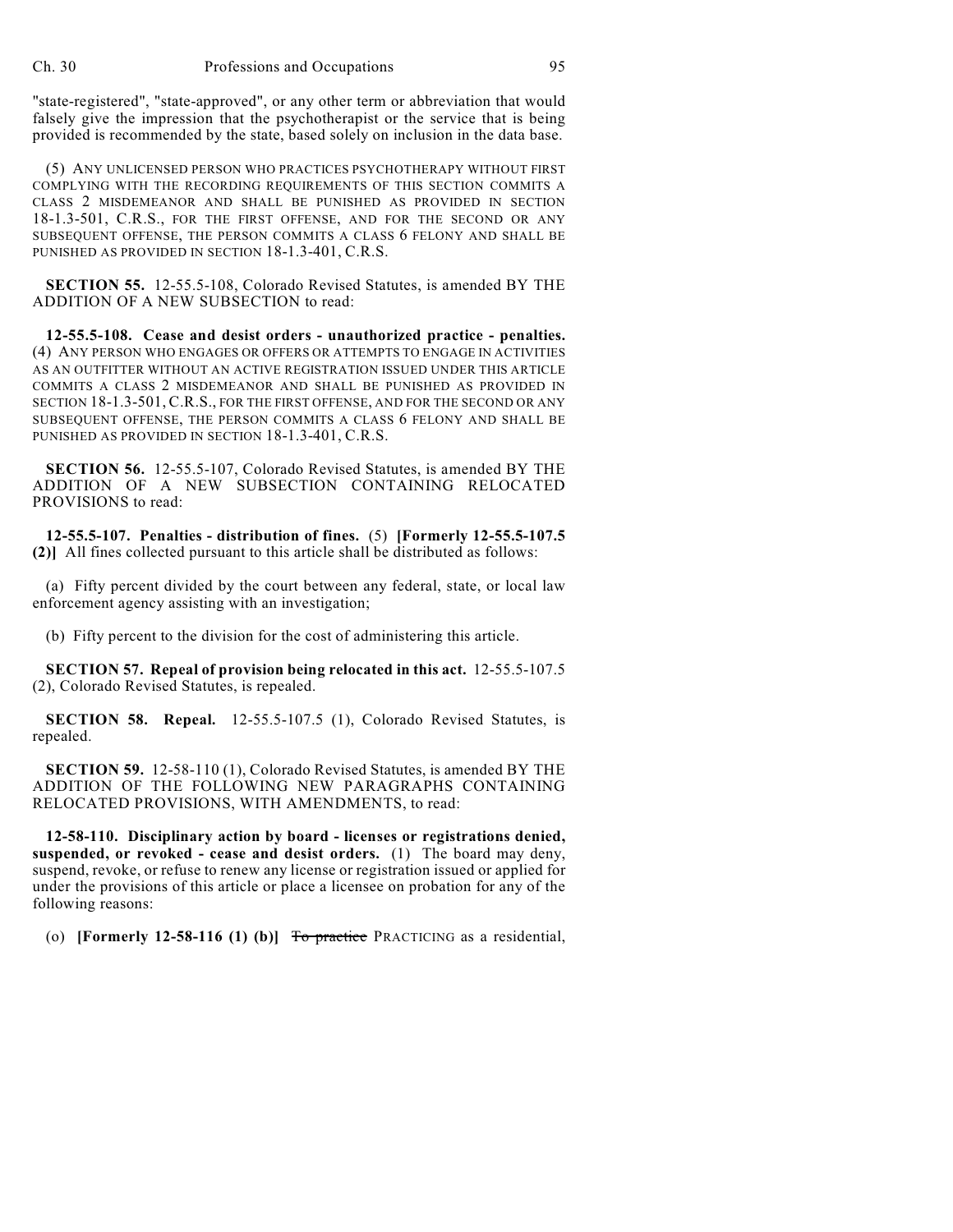"state-registered", "state-approved", or any other term or abbreviation that would falsely give the impression that the psychotherapist or the service that is being provided is recommended by the state, based solely on inclusion in the data base.

(5) ANY UNLICENSED PERSON WHO PRACTICES PSYCHOTHERAPY WITHOUT FIRST COMPLYING WITH THE RECORDING REQUIREMENTS OF THIS SECTION COMMITS A CLASS 2 MISDEMEANOR AND SHALL BE PUNISHED AS PROVIDED IN SECTION 18-1.3-501, C.R.S., FOR THE FIRST OFFENSE, AND FOR THE SECOND OR ANY SUBSEQUENT OFFENSE, THE PERSON COMMITS A CLASS 6 FELONY AND SHALL BE PUNISHED AS PROVIDED IN SECTION 18-1.3-401, C.R.S.

**SECTION 55.** 12-55.5-108, Colorado Revised Statutes, is amended BY THE ADDITION OF A NEW SUBSECTION to read:

**12-55.5-108. Cease and desist orders - unauthorized practice - penalties.** (4) ANY PERSON WHO ENGAGES OR OFFERS OR ATTEMPTS TO ENGAGE IN ACTIVITIES AS AN OUTFITTER WITHOUT AN ACTIVE REGISTRATION ISSUED UNDER THIS ARTICLE COMMITS A CLASS 2 MISDEMEANOR AND SHALL BE PUNISHED AS PROVIDED IN SECTION 18-1.3-501, C.R.S., FOR THE FIRST OFFENSE, AND FOR THE SECOND OR ANY SUBSEQUENT OFFENSE, THE PERSON COMMITS A CLASS 6 FELONY AND SHALL BE PUNISHED AS PROVIDED IN SECTION 18-1.3-401, C.R.S.

**SECTION 56.** 12-55.5-107, Colorado Revised Statutes, is amended BY THE ADDITION OF A NEW SUBSECTION CONTAINING RELOCATED PROVISIONS to read:

**12-55.5-107. Penalties - distribution of fines.** (5) **[Formerly 12-55.5-107.5 (2)]** All fines collected pursuant to this article shall be distributed as follows:

(a) Fifty percent divided by the court between any federal, state, or local law enforcement agency assisting with an investigation;

(b) Fifty percent to the division for the cost of administering this article.

**SECTION 57. Repeal of provision being relocated in this act.** 12-55.5-107.5 (2), Colorado Revised Statutes, is repealed.

**SECTION 58. Repeal.** 12-55.5-107.5 (1), Colorado Revised Statutes, is repealed.

**SECTION 59.** 12-58-110 (1), Colorado Revised Statutes, is amended BY THE ADDITION OF THE FOLLOWING NEW PARAGRAPHS CONTAINING RELOCATED PROVISIONS, WITH AMENDMENTS, to read:

**12-58-110. Disciplinary action by board - licenses or registrations denied, suspended, or revoked - cease and desist orders.** (1) The board may deny, suspend, revoke, or refuse to renew any license or registration issued or applied for under the provisions of this article or place a licensee on probation for any of the following reasons:

(o) **[Formerly 12-58-116 (1) (b)]** To practice PRACTICING as a residential,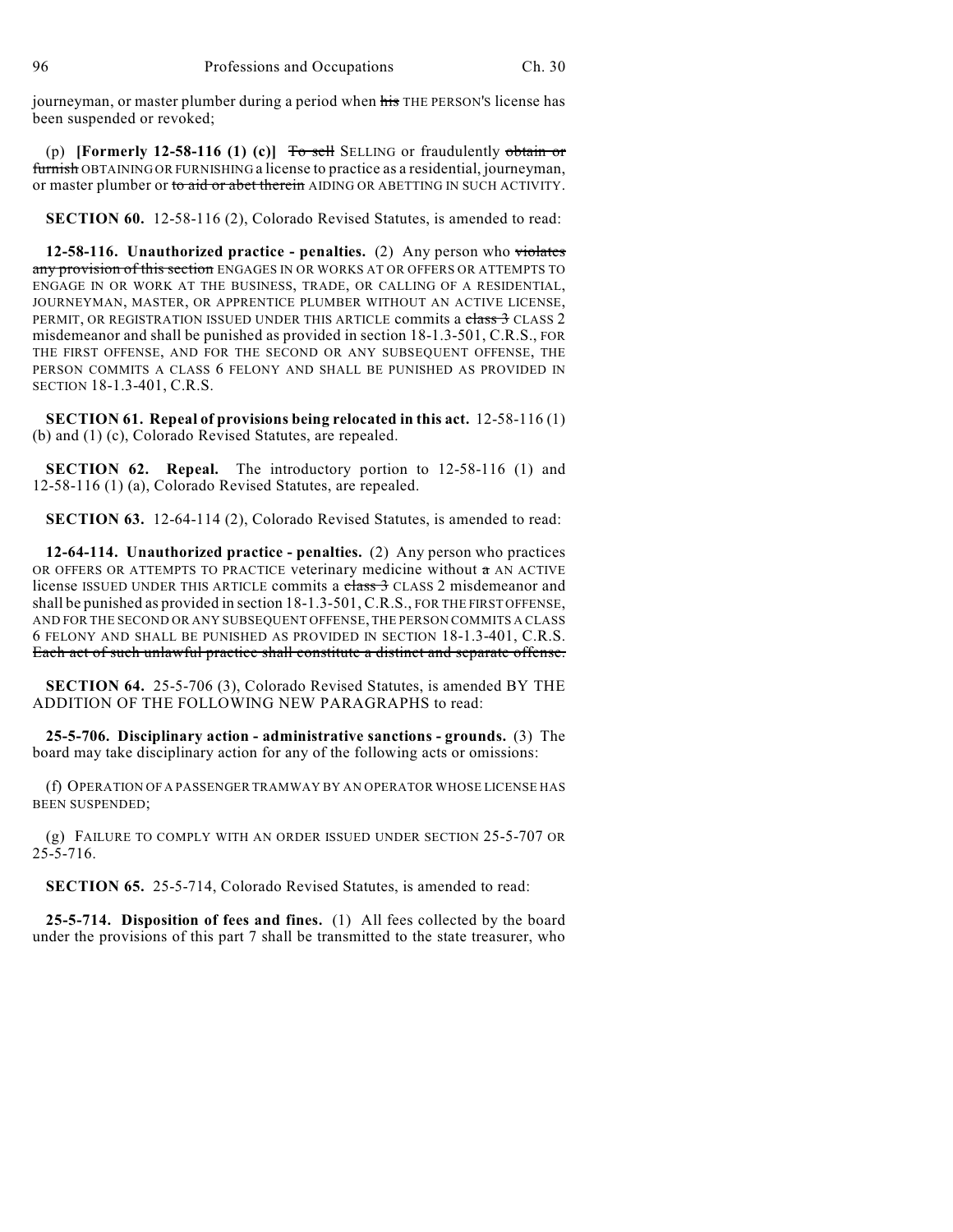journeyman, or master plumber during a period when his THE PERSON'S license has been suspended or revoked;

(p) **[Formerly 12-58-116 (1) (c)]** To sell SELLING or fraudulently obtain or furnish OBTAINING OR FURNISHING a license to practice as a residential, journeyman, or master plumber or to aid or abet therein AIDING OR ABETTING IN SUCH ACTIVITY.

**SECTION 60.** 12-58-116 (2), Colorado Revised Statutes, is amended to read:

**12-58-116. Unauthorized practice - penalties.** (2) Any person who violates any provision of this section ENGAGES IN OR WORKS AT OR OFFERS OR ATTEMPTS TO ENGAGE IN OR WORK AT THE BUSINESS, TRADE, OR CALLING OF A RESIDENTIAL, JOURNEYMAN, MASTER, OR APPRENTICE PLUMBER WITHOUT AN ACTIVE LICENSE, PERMIT, OR REGISTRATION ISSUED UNDER THIS ARTICLE commits a class 3 CLASS 2 misdemeanor and shall be punished as provided in section 18-1.3-501, C.R.S., FOR THE FIRST OFFENSE, AND FOR THE SECOND OR ANY SUBSEQUENT OFFENSE, THE PERSON COMMITS A CLASS 6 FELONY AND SHALL BE PUNISHED AS PROVIDED IN SECTION 18-1.3-401, C.R.S.

**SECTION 61. Repeal of provisions being relocated in this act.** 12-58-116 (1) (b) and (1) (c), Colorado Revised Statutes, are repealed.

**SECTION 62. Repeal.** The introductory portion to 12-58-116 (1) and 12-58-116 (1) (a), Colorado Revised Statutes, are repealed.

**SECTION 63.** 12-64-114 (2), Colorado Revised Statutes, is amended to read:

**12-64-114. Unauthorized practice - penalties.** (2) Any person who practices OR OFFERS OR ATTEMPTS TO PRACTICE veterinary medicine without  $\pi$  AN ACTIVE license ISSUED UNDER THIS ARTICLE commits a class 3 CLASS 2 misdemeanor and shall be punished as provided in section 18-1.3-501, C.R.S., FOR THE FIRST OFFENSE, AND FOR THE SECOND OR ANY SUBSEQUENT OFFENSE, THE PERSON COMMITS A CLASS 6 FELONY AND SHALL BE PUNISHED AS PROVIDED IN SECTION 18-1.3-401, C.R.S. Each act of such unlawful practice shall constitute a distinct and separate offense.

**SECTION 64.** 25-5-706 (3), Colorado Revised Statutes, is amended BY THE ADDITION OF THE FOLLOWING NEW PARAGRAPHS to read:

**25-5-706. Disciplinary action - administrative sanctions - grounds.** (3) The board may take disciplinary action for any of the following acts or omissions:

(f) OPERATION OF A PASSENGER TRAMWAY BY AN OPERATOR WHOSE LICENSE HAS BEEN SUSPENDED;

(g) FAILURE TO COMPLY WITH AN ORDER ISSUED UNDER SECTION 25-5-707 OR 25-5-716.

**SECTION 65.** 25-5-714, Colorado Revised Statutes, is amended to read:

**25-5-714. Disposition of fees and fines.** (1) All fees collected by the board under the provisions of this part 7 shall be transmitted to the state treasurer, who